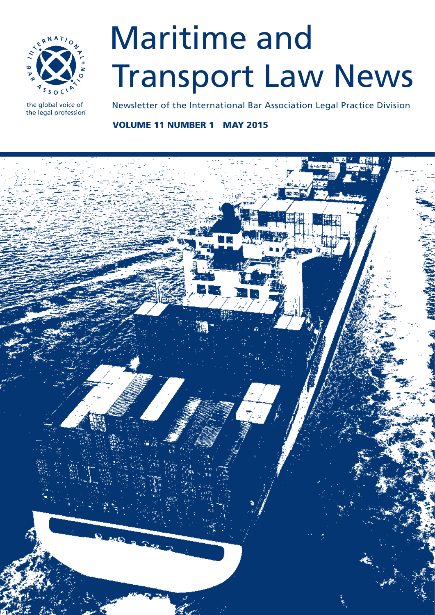

# Maritime and Transport Law News

the global voice of the legal profession® Newsletter of the International Bar Association Legal Practice Division

VOLUME 11 NUMBER 1 MAY 2015

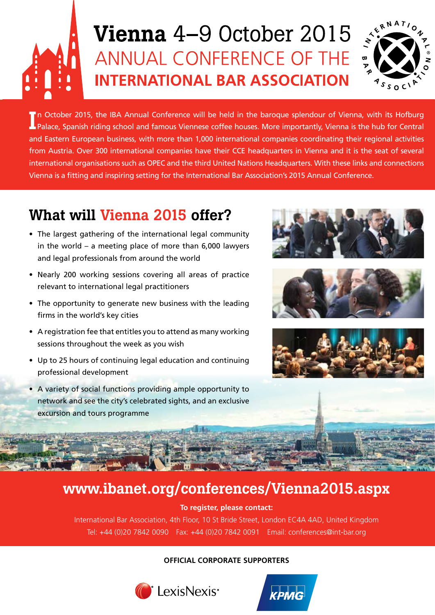# 

# **Vienna** 4–9 October 2015 ANNUAL CONFERENCE OF THE **INTERNATIONAL BAR ASSOCIATION**



In October 2015, the IBA Annual Conference will be held in the baroque splendour of Vienna, with its Hofburg<br>Palace, Spanish riding school and famous Viennese coffee houses. More importantly, Vienna is the hub for Central n October 2015, the IBA Annual Conference will be held in the baroque splendour of Vienna, with its Hofburg and Eastern European business, with more than 1,000 international companies coordinating their regional activities from Austria. Over 300 international companies have their CCE headquarters in Vienna and it is the seat of several international organisations such as OPEC and the third United Nations Headquarters. With these links and connections Vienna is a fi tting and inspiring setting for the International Bar Association's 2015 Annual Conference.

# What will Vienna 2015 offer?

- The largest gathering of the international legal community in the world – a meeting place of more than 6,000 lawyers and legal professionals from around the world
- Nearly 200 working sessions covering all areas of practice relevant to international legal practitioners
- The opportunity to generate new business with the leading firms in the world's key cities
- A registration fee that entitles you to attend as many working sessions throughout the week as you wish
- Up to 25 hours of continuing legal education and continuing professional development
- A variety of social functions providing ample opportunity to network and see the city's celebrated sights, and an exclusive excursion and tours programme







# www.ibanet.org/conferences/Vienna2015.aspx

**To register, please contact:** 

International Bar Association, 4th Floor, 10 St Bride Street, London EC4A 4AD, United Kingdom Tel: +44 (0)20 7842 0090 Fax: +44 (0)20 7842 0091 Email: conferences@int-bar.org

# **OFFICIAL CORPORATE SUPPORTERS**



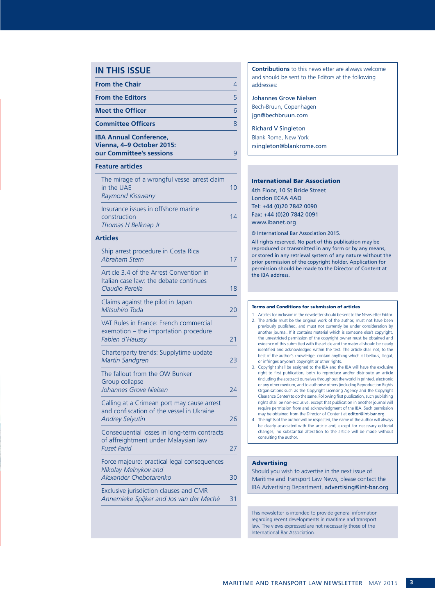# **IN THIS ISSUE**

| <b>From the Chair</b>                                                                                             | 4  |
|-------------------------------------------------------------------------------------------------------------------|----|
| <b>From the Editors</b>                                                                                           | 5  |
| <b>Meet the Officer</b>                                                                                           | 6  |
| <b>Committee Officers</b>                                                                                         | 8  |
| <b>IBA Annual Conference,</b><br>Vienna, 4-9 October 2015:<br>our Committee's sessions                            | 9  |
| <b>Feature articles</b>                                                                                           |    |
| The mirage of a wrongful vessel arrest claim<br>in the UAE<br>Raymond Kisswany                                    | 10 |
| Insurance issues in offshore marine<br>construction<br>Thomas H Belknap Jr                                        | 14 |
| <b>Articles</b>                                                                                                   |    |
| Ship arrest procedure in Costa Rica<br><b>Abraham Stern</b>                                                       | 17 |
| Article 3.4 of the Arrest Convention in<br>Italian case law: the debate continues<br>Claudio Perella              | 18 |
| Claims against the pilot in Japan<br>Mitsuhiro Toda                                                               | 20 |
| VAT Rules in France: French commercial<br>exemption - the importation procedure<br>Fabien d'Haussy                | 21 |
| Charterparty trends: Supplytime update<br>Martin Sandgren                                                         | 23 |
| The fallout from the OW Bunker<br>Group collapse<br>Johannes Grove Nielsen                                        | 24 |
| Calling at a Crimean port may cause arrest<br>and confiscation of the vessel in Ukraine<br><b>Andrey Selyutin</b> | 26 |
| Consequential losses in long-term contracts<br>of affreightment under Malaysian law<br><b>Fuset Farid</b>         | 27 |
| Force majeure: practical legal consequences<br>Nikolay Melnykov and<br>Alexander Chebotarenko                     | 30 |
| Exclusive jurisdiction clauses and CMR<br>Annemieke Spijker and Jos van der Meché                                 | 31 |

**Contributions** to this newsletter are always welcome and should be sent to the Editors at the following addresses:

Johannes Grove Nielsen Bech-Bruun, Copenhagen jgn@bechbruun.com

Richard V Singleton Blank Rome, New York rsingleton@blankrome.com

## International Bar Association

4th Floor, 10 St Bride Street London EC4A 4AD Tel: +44 (0)20 7842 0090 Fax: +44 (0)20 7842 0091 www.ibanet.org

© International Bar Association 2015.

All rights reserved. No part of this publication may be reproduced or transmitted in any form or by any means, or stored in any retrieval system of any nature without the prior permission of the copyright holder. Application for permission should be made to the Director of Content at the IBA address.

#### Terms and Conditions for submission of articles

- 1. Articles for inclusion in the newsletter should be sent to the Newsletter Editor. 2. The article must be the original work of the author, must not have been previously published, and must not currently be under consideration by another journal. If it contains material which is someone else's copyright, the unrestricted permission of the copyright owner must be obtained and evidence of this submitted with the article and the material should be clearly identified and acknowledged within the text. The article shall not, to the best of the author's knowledge, contain anything which is libellous, illegal, or infringes anyone's copyright or other rights.
- 3. Copyright shall be assigned to the IBA and the IBA will have the exclusive right to first publication, both to reproduce and/or distribute an article (including the abstract) ourselves throughout the world in printed, electronic or any other medium, and to authorise others (including Reproduction Rights Organisations such as the Copyright Licensing Agency and the Copyright Clearance Center) to do the same. Following first publication, such publishing rights shall be non-exclusive, except that publication in another journal will require permission from and acknowledgment of the IBA. Such permission may be obtained from the Director of Content at editor@int-bar.org.
- 4. The rights of the author will be respected, the name of the author will always be clearly associated with the article and, except for necessary editorial changes, no substantial alteration to the article will be made without consulting the author.

## **Advertising**

Should you wish to advertise in the next issue of Maritime and Transport Law News, please contact the IBA Advertising Department, advertising@int-bar.org

This newsletter is intended to provide general information regarding recent developments in maritime and transport law. The views expressed are not necessarily those of the International Bar Association.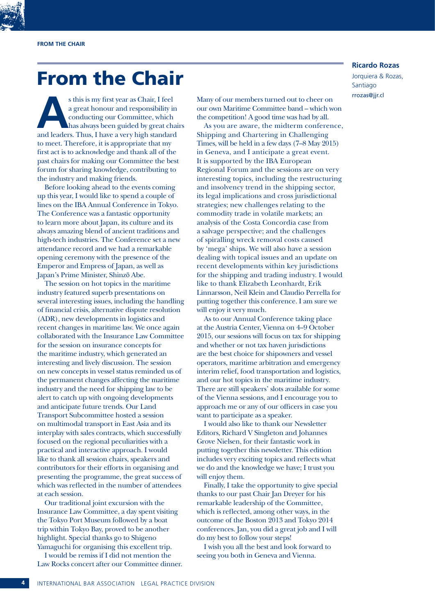# From the Chair

s this is my first year as Chair, I feel<br>
a great honour and responsibility in<br>
conducting our Committee, which<br>
has always been guided by great chai<br>
and leaders. Thus, I have a very high standard a great honour and responsibility in conducting our Committee, which has always been guided by great chairs to meet. Therefore, it is appropriate that my first act is to acknowledge and thank all of the past chairs for making our Committee the best forum for sharing knowledge, contributing to the industry and making friends.

Before looking ahead to the events coming up this year, I would like to spend a couple of lines on the IBA Annual Conference in Tokyo. The Conference was a fantastic opportunity to learn more about Japan, its culture and its always amazing blend of ancient traditions and high-tech industries. The Conference set a new attendance record and we had a remarkable opening ceremony with the presence of the Emperor and Empress of Japan, as well as Japan's Prime Minister, Shinzō Abe.

The session on hot topics in the maritime industry featured superb presentations on several interesting issues, including the handling of financial crisis, alternative dispute resolution (ADR), new developments in logistics and recent changes in maritime law. We once again collaborated with the Insurance Law Committee for the session on insurance concepts for the maritime industry, which generated an interesting and lively discussion. The session on new concepts in vessel status reminded us of the permanent changes affecting the maritime industry and the need for shipping law to be alert to catch up with ongoing developments and anticipate future trends. Our Land Transport Subcommittee hosted a session on multimodal transport in East Asia and its interplay with sales contracts, which successfully focused on the regional peculiarities with a practical and interactive approach. I would like to thank all session chairs, speakers and contributors for their efforts in organising and presenting the programme, the great success of which was reflected in the number of attendees at each session.

Our traditional joint excursion with the Insurance Law Committee, a day spent visiting the Tokyo Port Museum followed by a boat trip within Tokyo Bay, proved to be another highlight. Special thanks go to Shigeno Yamaguchi for organising this excellent trip.

I would be remiss if I did not mention the Law Rocks concert after our Committee dinner. Many of our members turned out to cheer on our own Maritime Committee band – which won the competition! A good time was had by all.

As you are aware, the midterm conference, Shipping and Chartering in Challenging Times, will be held in a few days (7–8 May 2015) in Geneva, and I anticipate a great event. It is supported by the IBA European Regional Forum and the sessions are on very interesting topics, including the restructuring and insolvency trend in the shipping sector, its legal implications and cross jurisdictional strategies; new challenges relating to the commodity trade in volatile markets; an analysis of the Costa Concordia case from a salvage perspective; and the challenges of spiralling wreck removal costs caused by 'mega' ships. We will also have a session dealing with topical issues and an update on recent developments within key jurisdictions for the shipping and trading industry. I would like to thank Elizabeth Leonhardt, Erik Linnarsson, Neil Klein and Claudio Perrella for putting together this conference. I am sure we will enjoy it very much.

As to our Annual Conference taking place at the Austria Center, Vienna on 4–9 October 2015, our sessions will focus on tax for shipping and whether or not tax haven jurisdictions are the best choice for shipowners and vessel operators, maritime arbitration and emergency interim relief, food transportation and logistics, and our hot topics in the maritime industry. There are still speakers' slots available for some of the Vienna sessions, and I encourage you to approach me or any of our officers in case you want to participate as a speaker.

I would also like to thank our Newsletter Editors, Richard V Singleton and Johannes Grove Nielsen, for their fantastic work in putting together this newsletter. This edition includes very exciting topics and reflects what we do and the knowledge we have; I trust you will enjoy them.

Finally, I take the opportunity to give special thanks to our past Chair Jan Dreyer for his remarkable leadership of the Committee, which is reflected, among other ways, in the outcome of the Boston 2013 and Tokyo 2014 conferences. Jan, you did a great job and I will do my best to follow your steps!

I wish you all the best and look forward to seeing you both in Geneva and Vienna.

## **Ricardo Rozas**

Jorquiera & Rozas, Santiago rrozas@jjr.cl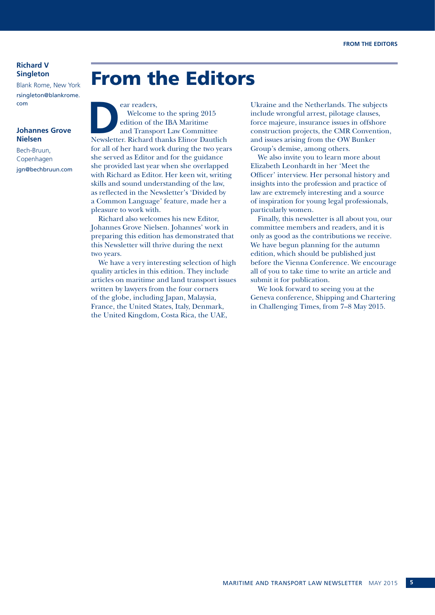# **Richard V Singleton**

Blank Rome, New York rsingleton@blankrome. com

# **Johannes Grove Nielsen**

Bech-Bruun, Copenhagen jgn@bechbruun.com

# From the Editors

Pear readers,<br>
Welcome to the spring 2015<br>
edition of the IBA Maritime<br>
and Transport Law Committee<br>
Newsletter. Richard thanks Elinor Dautlich Welcome to the spring 2015 edition of the IBA Maritime and Transport Law Committee for all of her hard work during the two years she served as Editor and for the guidance she provided last year when she overlapped with Richard as Editor. Her keen wit, writing skills and sound understanding of the law, as reflected in the Newsletter's 'Divided by a Common Language' feature, made her a pleasure to work with.

Richard also welcomes his new Editor, Johannes Grove Nielsen. Johannes' work in preparing this edition has demonstrated that this Newsletter will thrive during the next two years.

We have a very interesting selection of high quality articles in this edition. They include articles on maritime and land transport issues written by lawyers from the four corners of the globe, including Japan, Malaysia, France, the United States, Italy, Denmark, the United Kingdom, Costa Rica, the UAE,

Ukraine and the Netherlands. The subjects include wrongful arrest, pilotage clauses, force majeure, insurance issues in offshore construction projects, the CMR Convention, and issues arising from the OW Bunker Group's demise, among others.

We also invite you to learn more about Elizabeth Leonhardt in her 'Meet the Officer' interview. Her personal history and insights into the profession and practice of law are extremely interesting and a source of inspiration for young legal professionals, particularly women.

Finally, this newsletter is all about you, our committee members and readers, and it is only as good as the contributions we receive. We have begun planning for the autumn edition, which should be published just before the Vienna Conference. We encourage all of you to take time to write an article and submit it for publication.

We look forward to seeing you at the Geneva conference, Shipping and Chartering in Challenging Times, from 7–8 May 2015.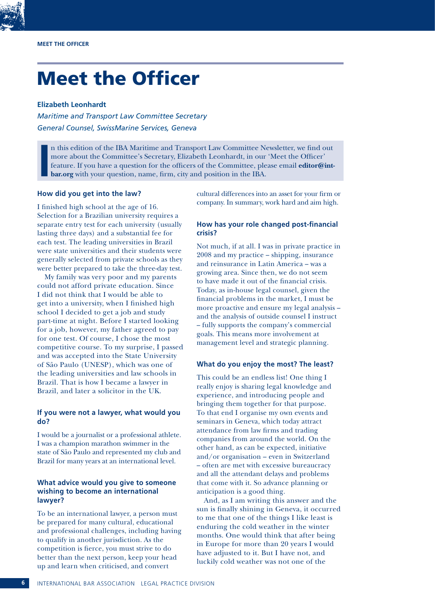# Meet the Officer

# **Elizabeth Leonhardt**

*Maritime and Transport Law Committee Secretary General Counsel, SwissMarine Services, Geneva*

**I** n this edition of the IBA Maritime and Transport Law Committee Newsletter, we find out more about the Committee's Secretary, Elizabeth Leonhardt, in our 'Meet the Officer' feature. If you have a question for the officers of the Committee, please email **editor@intbar.org** with your question, name, firm, city and position in the IBA.

# **How did you get into the law?**

I finished high school at the age of 16. Selection for a Brazilian university requires a separate entry test for each university (usually lasting three days) and a substantial fee for each test. The leading universities in Brazil were state universities and their students were generally selected from private schools as they were better prepared to take the three-day test.

My family was very poor and my parents could not afford private education. Since I did not think that I would be able to get into a university, when I finished high school I decided to get a job and study part-time at night. Before I started looking for a job, however, my father agreed to pay for one test. Of course, I chose the most competitive course. To my surprise, I passed and was accepted into the State University of São Paulo (UNESP), which was one of the leading universities and law schools in Brazil. That is how I became a lawyer in Brazil, and later a solicitor in the UK.

# **If you were not a lawyer, what would you do?**

I would be a journalist or a professional athlete. I was a champion marathon swimmer in the state of São Paulo and represented my club and Brazil for many years at an international level.

# **What advice would you give to someone wishing to become an international lawyer?**

To be an international lawyer, a person must be prepared for many cultural, educational and professional challenges, including having to qualify in another jurisdiction. As the competition is fierce, you must strive to do better than the next person, keep your head up and learn when criticised, and convert

cultural differences into an asset for your firm or company. In summary, work hard and aim high.

# **How has your role changed post-financial crisis?**

Not much, if at all. I was in private practice in 2008 and my practice – shipping, insurance and reinsurance in Latin America – was a growing area. Since then, we do not seem to have made it out of the financial crisis. Today, as in-house legal counsel, given the financial problems in the market, I must be more proactive and ensure my legal analysis – and the analysis of outside counsel I instruct – fully supports the company's commercial goals. This means more involvement at management level and strategic planning.

#### **What do you enjoy the most? The least?**

This could be an endless list! One thing I really enjoy is sharing legal knowledge and experience, and introducing people and bringing them together for that purpose. To that end I organise my own events and seminars in Geneva, which today attract attendance from law firms and trading companies from around the world. On the other hand, as can be expected, initiative and/or organisation – even in Switzerland – often are met with excessive bureaucracy and all the attendant delays and problems that come with it. So advance planning or anticipation is a good thing.

And, as I am writing this answer and the sun is finally shining in Geneva, it occurred to me that one of the things I like least is enduring the cold weather in the winter months. One would think that after being in Europe for more than 20 years I would have adjusted to it. But I have not, and luckily cold weather was not one of the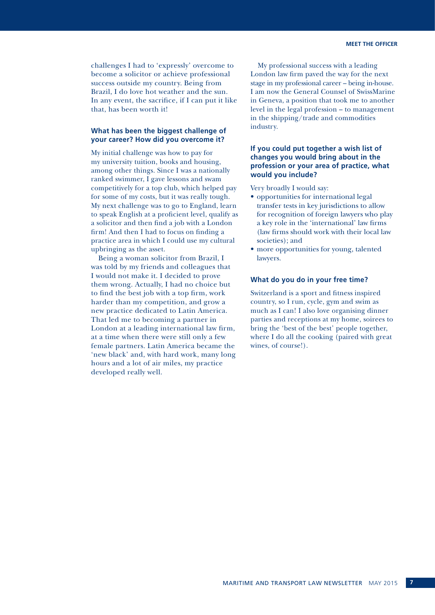challenges I had to 'expressly' overcome to become a solicitor or achieve professional success outside my country. Being from Brazil, I do love hot weather and the sun. In any event, the sacrifice, if I can put it like that, has been worth it!

# **What has been the biggest challenge of your career? How did you overcome it?**

My initial challenge was how to pay for my university tuition, books and housing, among other things. Since I was a nationally ranked swimmer, I gave lessons and swam competitively for a top club, which helped pay for some of my costs, but it was really tough. My next challenge was to go to England, learn to speak English at a proficient level, qualify as a solicitor and then find a job with a London firm! And then I had to focus on finding a practice area in which I could use my cultural upbringing as the asset.

Being a woman solicitor from Brazil, I was told by my friends and colleagues that I would not make it. I decided to prove them wrong. Actually, I had no choice but to find the best job with a top firm, work harder than my competition, and grow a new practice dedicated to Latin America. That led me to becoming a partner in London at a leading international law firm, at a time when there were still only a few female partners. Latin America became the 'new black' and, with hard work, many long hours and a lot of air miles, my practice developed really well.

My professional success with a leading London law firm paved the way for the next stage in my professional career – being in-house. I am now the General Counsel of SwissMarine in Geneva, a position that took me to another level in the legal profession – to management in the shipping/trade and commodities industry.

# **If you could put together a wish list of changes you would bring about in the profession or your area of practice, what would you include?**

Very broadly I would say:

- opportunities for international legal transfer tests in key jurisdictions to allow for recognition of foreign lawyers who play a key role in the 'international' law firms (law firms should work with their local law societies); and
- more opportunities for young, talented lawyers.

# **What do you do in your free time?**

Switzerland is a sport and fitness inspired country, so I run, cycle, gym and swim as much as I can! I also love organising dinner parties and receptions at my home, soirees to bring the 'best of the best' people together, where I do all the cooking (paired with great wines, of course!).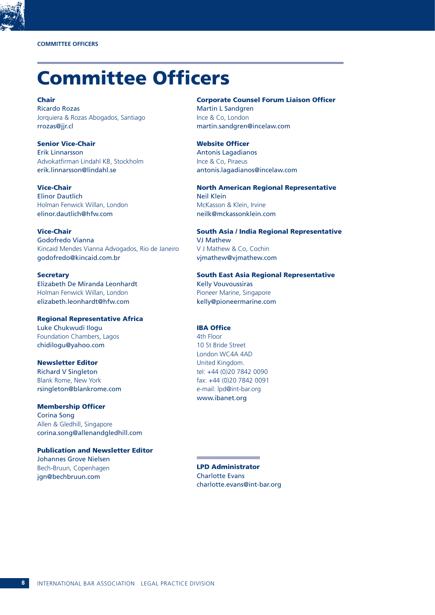# Committee Officers

Chair Ricardo Rozas Jorquiera & Rozas Abogados, Santiago rrozas@jjr.cl

Senior Vice-Chair Erik Linnarsson Advokatfirman Lindahl KB, Stockholm erik.linnarsson@lindahl.se

Vice-Chair Elinor Dautlich Holman Fenwick Willan, London elinor.dautlich@hfw.com

# Vice-Chair Godofredo Vianna Kincaid Mendes Vianna Advogados, Rio de Janeiro

godofredo@kincaid.com.br

**Secretary** Elizabeth De Miranda Leonhardt Holman Fenwick Willan, London elizabeth.leonhardt@hfw.com

# Regional Representative Africa

Luke Chukwudi Ilogu Foundation Chambers, Lagos chidilogu@yahoo.com

# Newsletter Editor

Richard V Singleton Blank Rome, New York rsingleton@blankrome.com

# Membership Officer

Corina Song Allen & Gledhill, Singapore corina.song@allenandgledhill.com

# Publication and Newsletter Editor

Johannes Grove Nielsen Bech-Bruun, Copenhagen jgn@bechbruun.com

# Corporate Counsel Forum Liaison Officer Martin L Sandgren Ince & Co, London martin.sandgren@incelaw.com

Website Officer Antonis Lagadianos Ince & Co, Piraeus antonis.lagadianos@incelaw.com

# North American Regional Representative Neil Klein McKasson & Klein, Irvine neilk@mckassonklein.com

South Asia / India Regional Representative VJ Mathew V J Mathew & Co, Cochin vjmathew@vjmathew.com

# South East Asia Regional Representative

Kelly Vouvoussiras Pioneer Marine, Singapore kelly@pioneermarine.com

# IBA Office

4th Floor 10 St Bride Street London WC4A 4AD United Kingdom. tel: +44 (0)20 7842 0090 fax: +44 (0)20 7842 0091 e-mail: lpd@int-bar.org www.ibanet.org

LPD Administrator Charlotte Evans charlotte.evans@int-bar.org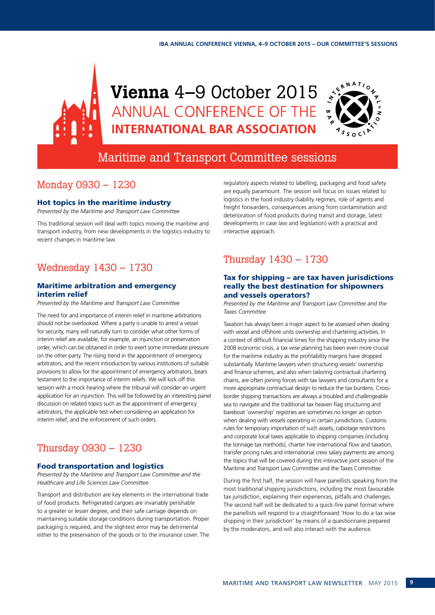# **IBA ANNUAL CONFERENCE VIENNA, 4–9 OCTOBER 2015 – OUR COMMITTEE'S SESSIONS**





# Maritime and Transport Committee sessions

# Monday 0930 – 1230

# Hot topics in the maritime industry

*Presented by the Maritime and Transport Law Committee*

This traditional session will deal with topics moving the maritime and transport industry, from new developments in the logistics industry to recent changes in maritime law.

# Wednesday 1430 – 1730

# Maritime arbitration and emergency interim relief

*Presented by the Maritime and Transport Law Committee*

The need for and importance of interim relief in maritime arbitrations should not be overlooked. Where a party is unable to arrest a vessel for security, many will naturally turn to consider what other forms of interim relief are available, for example, an injunction or preservation order, which can be obtained in order to exert some immediate pressure on the other party. The rising trend in the appointment of emergency arbitrators, and the recent introduction by various institutions of suitable provisions to allow for the appointment of emergency arbitrators, bears testament to the importance of interim reliefs. We will kick off this session with a mock hearing where the tribunal will consider an urgent application for an injunction. This will be followed by an interesting panel discussion on related topics such as the appointment of emergency arbitrators, the applicable test when considering an application for interim relief, and the enforcement of such orders.

# Thursday 0930 – 1230

# Food transportation and logistics

*Presented by the Maritime and Transport Law Committee and the Healthcare and Life Sciences Law Committee*

Transport and distribution are key elements in the international trade of food products. Refrigerated cargoes are invariably perishable to a greater or lesser degree, and their safe carriage depends on maintaining suitable storage conditions during transportation. Proper packaging is required, and the slightest error may be detrimental either to the preservation of the goods or to the insurance cover. The regulatory aspects related to labelling, packaging and food safety are equally paramount. The session will focus on issues related to logistics in the food industry (liability regimes, role of agents and freight forwarders, consequences arising from contamination and deterioration of food products during transit and storage, latest developments in case law and legislation) with a practical and interactive approach.

# Thursday 1430 – 1730

# Tax for shipping – are tax haven jurisdictions really the best destination for shipowners and vessels operators?

*Presented by the Maritime and Transport Law Committee and the Taxes Committee*

Taxation has always been a major aspect to be assessed when dealing with vessel and offshore units ownership and chartering activities. In a context of difficult financial times for the shipping industry since the 2008 economic crisis, a tax wise planning has been even more crucial for the maritime industry as the profitability margins have dropped substantially. Maritime lawyers when structuring vessels' ownership and finance schemes, and also when tailoring contractual chartering chains, are often joining forces with tax lawyers and consultants for a more appropriate contractual design to reduce the tax burdens. Crossborder shipping transactions are always a troubled and challengeable sea to navigate and the traditional tax heaven flag structuring and bareboat 'ownership' registries are sometimes no longer an option when dealing with vessels operating in certain jurisdictions. Customs rules for temporary importation of such assets, cabotage restrictions and corporate local taxes applicable to shipping companies (including the tonnage tax methods), charter hire international flow and taxation, transfer pricing rules and international crew salary payments are among the topics that will be covered during this interactive joint session of the Maritime and Transport Law Committee and the Taxes Committee.

During the first half, the session will have panellists speaking from the most traditional shipping jurisdictions, including the most favourable tax jurisdiction, explaining their experiences, pitfalls and challenges. The second half will be dedicated to a quick-fire panel format where the panellists will respond to a straightforward 'How to do a tax wise shipping in their jurisdiction' by means of a questionnaire prepared by the moderators, and will also interact with the audience.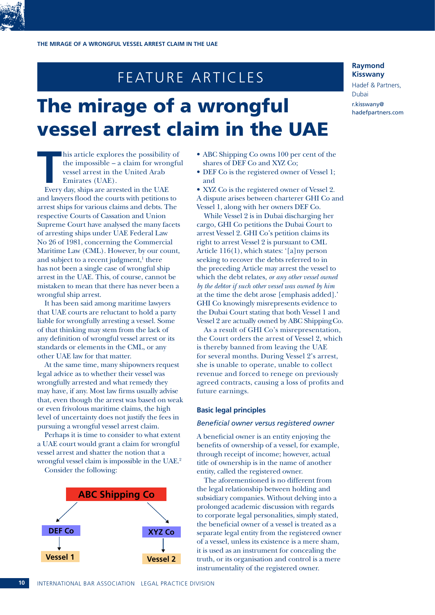# FEATURE ARTICLES

# **Raymond Kisswany**

Hadef & Partners, Dubai

# The mirage of a wrongful **hadefpartners.com** vessel arrest claim in the UAE

This article explores the possibility<br>
the impossible – a claim for wron<br>
vessel arrest in the United Arab<br>
Emirates (UAE).<br>
Every day, ships are arrested in the UAE his article explores the possibility of the impossible – a claim for wrongful vessel arrest in the United Arab Emirates (UAE).

and lawyers flood the courts with petitions to arrest ships for various claims and debts. The respective Courts of Cassation and Union Supreme Court have analysed the many facets of arresting ships under UAE Federal Law No 26 of 1981, concerning the Commercial Maritime Law (CML). However, by our count, and subject to a recent judgment,<sup>1</sup> there has not been a single case of wrongful ship arrest in the UAE. This, of course, cannot be mistaken to mean that there has never been a wrongful ship arrest.

It has been said among maritime lawyers that UAE courts are reluctant to hold a party liable for wrongfully arresting a vessel. Some of that thinking may stem from the lack of any definition of wrongful vessel arrest or its standards or elements in the CML, or any other UAE law for that matter.

At the same time, many shipowners request legal advice as to whether their vessel was wrongfully arrested and what remedy they may have, if any. Most law firms usually advise that, even though the arrest was based on weak or even frivolous maritime claims, the high level of uncertainty does not justify the fees in pursuing a wrongful vessel arrest claim.

Perhaps it is time to consider to what extent a UAE court would grant a claim for wrongful vessel arrest and shatter the notion that a wrongful vessel claim is impossible in the UAE.2

Consider the following:



- ABC Shipping Co owns 100 per cent of the shares of DEF Co and XYZ Co;
- DEF Co is the registered owner of Vessel 1; and

• XYZ Co is the registered owner of Vessel 2. A dispute arises between charterer GHI Co and Vessel 1, along with her owners DEF Co.

While Vessel 2 is in Dubai discharging her cargo, GHI Co petitions the Dubai Court to arrest Vessel 2. GHI Co's petition claims its right to arrest Vessel 2 is pursuant to CML Article 116(1), which states: '[a]ny person seeking to recover the debts referred to in the preceding Article may arrest the vessel to which the debt relates, *or any other vessel owned by the debtor if such other vessel was owned by him* at the time the debt arose [emphasis added].' GHI Co knowingly misrepresents evidence to the Dubai Court stating that both Vessel 1 and Vessel 2 are actually owned by ABC ShippingCo.

As a result of GHI Co's misrepresentation, the Court orders the arrest of Vessel 2, which is thereby banned from leaving the UAE for several months. During Vessel 2's arrest, she is unable to operate, unable to collect revenue and forced to renege on previously agreed contracts, causing a loss of profits and future earnings.

## **Basic legal principles**

# *Beneficial owner versus registered owner*

A beneficial owner is an entity enjoying the benefits of ownership of a vessel, for example, through receipt of income; however, actual title of ownership is in the name of another entity, called the registered owner.

The aforementioned is no different from the legal relationship between holding and subsidiary companies. Without delving into a prolonged academic discussion with regards to corporate legal personalities, simply stated, the beneficial owner of a vessel is treated as a separate legal entity from the registered owner of a vessel, unless its existence is a mere sham, it is used as an instrument for concealing the truth, or its organisation and control is a mere instrumentality of the registered owner.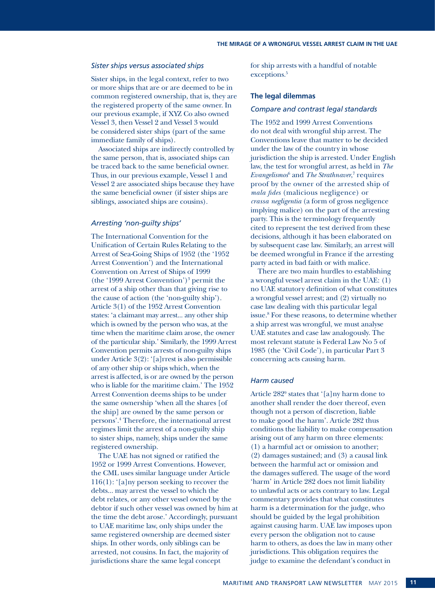# *Sister ships versus associated ships*

Sister ships, in the legal context, refer to two or more ships that are or are deemed to be in common registered ownership, that is, they are the registered property of the same owner. In our previous example, if XYZ Co also owned Vessel 3, then Vessel 2 and Vessel 3 would be considered sister ships (part of the same immediate family of ships).

Associated ships are indirectly controlled by the same person, that is, associated ships can be traced back to the same beneficial owner. Thus, in our previous example, Vessel 1 and Vessel 2 are associated ships because they have the same beneficial owner (if sister ships are siblings, associated ships are cousins).

# *Arresting 'non-guilty ships'*

The International Convention for the Unification of Certain Rules Relating to the Arrest of Sea-Going Ships of 1952 (the '1952 Arrest Convention') and the International Convention on Arrest of Ships of 1999 (the '1999 Arrest Convention')3 permit the arrest of a ship other than that giving rise to the cause of action (the 'non-guilty ship'). Article 3(1) of the 1952 Arrest Convention states: 'a claimant may arrest... any other ship which is owned by the person who was, at the time when the maritime claim arose, the owner of the particular ship.' Similarly, the 1999 Arrest Convention permits arrests of non-guilty ships under Article 3(2): '[a]rrest is also permissible of any other ship or ships which, when the arrest is affected, is or are owned by the person who is liable for the maritime claim.' The 1952 Arrest Convention deems ships to be under the same ownership 'when all the shares [of the ship] are owned by the same person or persons'.4 Therefore, the international arrest regimes limit the arrest of a non-guilty ship to sister ships, namely, ships under the same registered ownership.

The UAE has not signed or ratified the 1952 or 1999 Arrest Conventions. However, the CML uses similar language under Article 116(1): '[a]ny person seeking to recover the debts... may arrest the vessel to which the debt relates, or any other vessel owned by the debtor if such other vessel was owned by him at the time the debt arose.' Accordingly, pursuant to UAE maritime law, only ships under the same registered ownership are deemed sister ships. In other words, only siblings can be arrested, not cousins. In fact, the majority of jurisdictions share the same legal concept

for ship arrests with a handful of notable exceptions.<sup>5</sup>

## **The legal dilemmas**

## *Compare and contrast legal standards*

The 1952 and 1999 Arrest Conventions do not deal with wrongful ship arrest. The Conventions leave that matter to be decided under the law of the country in whose jurisdiction the ship is arrested. Under English law, the test for wrongful arrest, as held in *The*  Evangelismos<sup>6</sup> and *The Strathnaver*,<sup>7</sup> requires proof by the owner of the arrested ship of *mala fides* (malicious negligence) or *crassa negligentia* (a form of gross negligence implying malice) on the part of the arresting party. This is the terminology frequently cited to represent the test derived from these decisions, although it has been elaborated on by subsequent case law. Similarly, an arrest will be deemed wrongful in France if the arresting party acted in bad faith or with malice.

There are two main hurdles to establishing a wrongful vessel arrest claim in the UAE: (1) no UAE statutory definition of what constitutes a wrongful vessel arrest; and (2) virtually no case law dealing with this particular legal issue.8 For these reasons, to determine whether a ship arrest was wrongful, we must analyse UAE statutes and case law analogously. The most relevant statute is Federal Law No 5 of 1985 (the 'Civil Code'), in particular Part 3 concerning acts causing harm.

### *Harm caused*

Article 282<sup>9</sup> states that '[a]ny harm done to another shall render the doer thereof, even though not a person of discretion, liable to make good the harm'. Article 282 thus conditions the liability to make compensation arising out of any harm on three elements: (1) a harmful act or omission to another; (2) damages sustained; and (3) a causal link between the harmful act or omission and the damages suffered. The usage of the word 'harm' in Article 282 does not limit liability to unlawful acts or acts contrary to law. Legal commentary provides that what constitutes harm is a determination for the judge, who should be guided by the legal prohibition against causing harm. UAE law imposes upon every person the obligation not to cause harm to others, as does the law in many other jurisdictions. This obligation requires the judge to examine the defendant's conduct in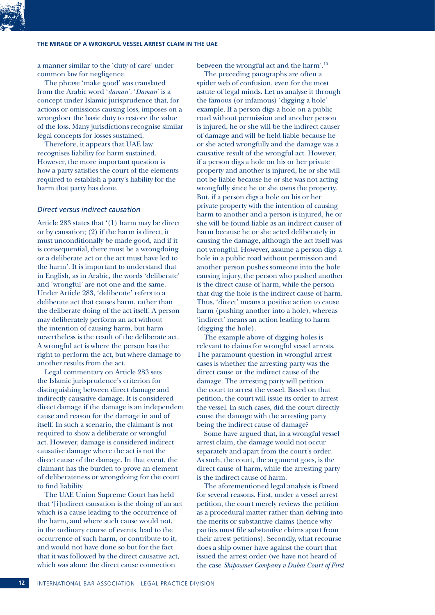# **THE MIRAGE OF A WRONGFUL VESSEL ARREST CLAIM IN THE UAE**

a manner similar to the 'duty of care' under common law for negligence.

The phrase 'make good' was translated from the Arabic word '*daman*'. '*Daman*' is a concept under Islamic jurisprudence that, for actions or omissions causing loss, imposes on a wrongdoer the basic duty to restore the value of the loss. Many jurisdictions recognise similar legal concepts for losses sustained.

Therefore, it appears that UAE law recognises liability for harm sustained. However, the more important question is how a party satisfies the court of the elements required to establish a party's liability for the harm that party has done.

# *Direct versus indirect causation*

Article 283 states that '(1) harm may be direct or by causation; (2) if the harm is direct, it must unconditionally be made good, and if it is consequential, there must be a wrongdoing or a deliberate act or the act must have led to the harm'. It is important to understand that in English, as in Arabic, the words 'deliberate' and 'wrongful' are not one and the same. Under Article 283, 'deliberate' refers to a deliberate act that causes harm, rather than the deliberate doing of the act itself. A person may deliberately perform an act without the intention of causing harm, but harm nevertheless is the result of the deliberate act. A wrongful act is where the person has the right to perform the act, but where damage to another results from the act.

Legal commentary on Article 283 sets the Islamic jurisprudence's criterion for distinguishing between direct damage and indirectly causative damage. It is considered direct damage if the damage is an independent cause and reason for the damage in and of itself. In such a scenario, the claimant is not required to show a deliberate or wrongful act. However, damage is considered indirect causative damage where the act is not the direct cause of the damage. In that event, the claimant has the burden to prove an element of deliberateness or wrongdoing for the court to find liability.

The UAE Union Supreme Court has held that '[i]ndirect causation is the doing of an act which is a cause leading to the occurrence of the harm, and where such cause would not, in the ordinary course of events, lead to the occurrence of such harm, or contribute to it, and would not have done so but for the fact that it was followed by the direct causative act, which was alone the direct cause connection

between the wrongful act and the harm'.10 The preceding paragraphs are often a

spider web of confusion, even for the most astute of legal minds. Let us analyse it through the famous (or infamous) 'digging a hole' example. If a person digs a hole on a public road without permission and another person is injured, he or she will be the indirect causer of damage and will be held liable because he or she acted wrongfully and the damage was a causative result of the wrongful act. However, if a person digs a hole on his or her private property and another is injured, he or she will not be liable because he or she was not acting wrongfully since he or she owns the property. But, if a person digs a hole on his or her private property with the intention of causing harm to another and a person is injured, he or she will be found liable as an indirect causer of harm because he or she acted deliberately in causing the damage, although the act itself was not wrongful. However, assume a person digs a hole in a public road without permission and another person pushes someone into the hole causing injury, the person who pushed another is the direct cause of harm, while the person that dug the hole is the indirect cause of harm. Thus, 'direct' means a positive action to cause harm (pushing another into a hole), whereas 'indirect' means an action leading to harm (digging the hole).

The example above of digging holes is relevant to claims for wrongful vessel arrests. The paramount question in wrongful arrest cases is whether the arresting party was the direct cause or the indirect cause of the damage. The arresting party will petition the court to arrest the vessel. Based on that petition, the court will issue its order to arrest the vessel. In such cases, did the court directly cause the damage with the arresting party being the indirect cause of damage?

Some have argued that, in a wrongful vessel arrest claim, the damage would not occur separately and apart from the court's order. As such, the court, the argument goes, is the direct cause of harm, while the arresting party is the indirect cause of harm.

The aforementioned legal analysis is flawed for several reasons. First, under a vessel arrest petition, the court merely reviews the petition as a procedural matter rather than delving into the merits or substantive claims (hence why parties must file substantive claims apart from their arrest petitions). Secondly, what recourse does a ship owner have against the court that issued the arrest order (we have not heard of the case *Shipowner Company v Dubai Court of First*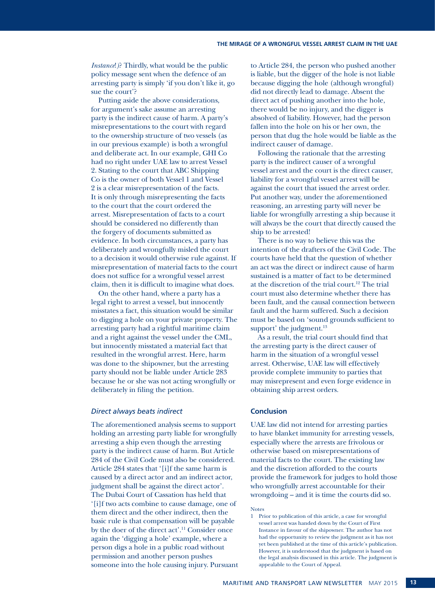*Instance*!*)*? Thirdly, what would be the public policy message sent when the defence of an arresting party is simply 'if you don't like it, go sue the court'?

Putting aside the above considerations, for argument's sake assume an arresting party is the indirect cause of harm. A party's misrepresentations to the court with regard to the ownership structure of two vessels (as in our previous example) is both a wrongful and deliberate act. In our example, GHI Co had no right under UAE law to arrest Vessel 2. Stating to the court that ABC Shipping Co is the owner of both Vessel 1 and Vessel 2 is a clear misrepresentation of the facts. It is only through misrepresenting the facts to the court that the court ordered the arrest. Misrepresentation of facts to a court should be considered no differently than the forgery of documents submitted as evidence. In both circumstances, a party has deliberately and wrongfully misled the court to a decision it would otherwise rule against. If misrepresentation of material facts to the court does not suffice for a wrongful vessel arrest claim, then it is difficult to imagine what does.

On the other hand, where a party has a legal right to arrest a vessel, but innocently misstates a fact, this situation would be similar to digging a hole on your private property. The arresting party had a rightful maritime claim and a right against the vessel under the CML, but innocently misstated a material fact that resulted in the wrongful arrest. Here, harm was done to the shipowner, but the arresting party should not be liable under Article 283 because he or she was not acting wrongfully or deliberately in filing the petition.

## *Direct always beats indirect*

The aforementioned analysis seems to support holding an arresting party liable for wrongfully arresting a ship even though the arresting party is the indirect cause of harm. But Article 284 of the Civil Code must also be considered. Article 284 states that '[i]f the same harm is caused by a direct actor and an indirect actor, judgment shall be against the direct actor'. The Dubai Court of Cassation has held that '[i]f two acts combine to cause damage, one of them direct and the other indirect, then the basic rule is that compensation will be payable by the doer of the direct act'.<sup>11</sup> Consider once again the 'digging a hole' example, where a person digs a hole in a public road without permission and another person pushes someone into the hole causing injury. Pursuant

to Article 284, the person who pushed another is liable, but the digger of the hole is not liable because digging the hole (although wrongful) did not directly lead to damage. Absent the direct act of pushing another into the hole, there would be no injury, and the digger is absolved of liability. However, had the person fallen into the hole on his or her own, the person that dug the hole would be liable as the indirect causer of damage.

Following the rationale that the arresting party is the indirect causer of a wrongful vessel arrest and the court is the direct causer, liability for a wrongful vessel arrest will be against the court that issued the arrest order. Put another way, under the aforementioned reasoning, an arresting party will never be liable for wrongfully arresting a ship because it will always be the court that directly caused the ship to be arrested!

There is no way to believe this was the intention of the drafters of the Civil Code. The courts have held that the question of whether an act was the direct or indirect cause of harm sustained is a matter of fact to be determined at the discretion of the trial court.12 The trial court must also determine whether there has been fault, and the causal connection between fault and the harm suffered. Such a decision must be based on 'sound grounds sufficient to support' the judgment.<sup>13</sup>

As a result, the trial court should find that the arresting party is the direct causer of harm in the situation of a wrongful vessel arrest. Otherwise, UAE law will effectively provide complete immunity to parties that may misrepresent and even forge evidence in obtaining ship arrest orders.

#### **Conclusion**

UAE law did not intend for arresting parties to have blanket immunity for arresting vessels, especially where the arrests are frivolous or otherwise based on misrepresentations of material facts to the court. The existing law and the discretion afforded to the courts provide the framework for judges to hold those who wrongfully arrest accountable for their wrongdoing – and it is time the courts did so.

Notes

<sup>1</sup> Prior to publication of this article, a case for wrongful vessel arrest was handed down by the Court of First Instance in favour of the shipowner. The author has not had the opportunity to review the judgment as it has not yet been published at the time of this article's publication. However, it is understood that the judgment is based on the legal analysis discussed in this article. The judgment is appealable to the Court of Appeal.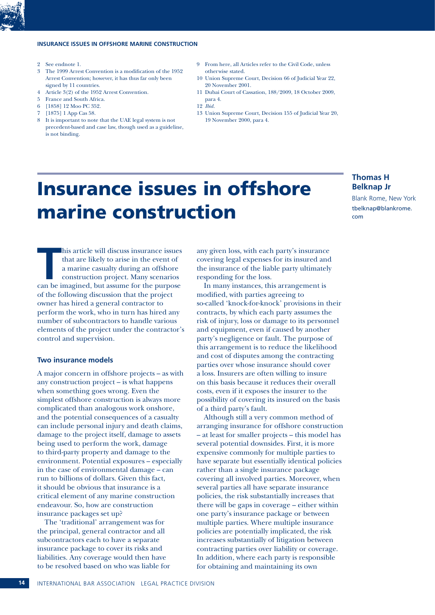# **INSURANCE ISSUES IN OFFSHORE MARINE CONSTRUCTION**

- 2 See endnote 1.
- 3 The 1999 Arrest Convention is a modification of the 1952 Arrest Convention; however, it has thus far only been signed by 11 countries.
- 4 Article 3(2) of the 1952 Arrest Convention.
- 5 France and South Africa.
- 6 [1858] 12 Moo PC 352.
- 7 [1875] 1 App Cas 58.
- 8 It is important to note that the UAE legal system is not precedent-based and case law, though used as a guideline, is not binding.
- 9 From here, all Articles refer to the Civil Code, unless otherwise stated.
- 10 Union Supreme Court, Decision 66 of Judicial Year 22, 20 November 2001.
- 11 Dubai Court of Cassation, 188/2009, 18 October 2009, para 4.
- 12 *Ibid.*
- 13 Union Supreme Court, Decision 155 of Judicial Year 20, 19 November 2000, para 4.

# Insurance issues in offshore marine construction

# **Thomas H Belknap Jr**

Blank Rome, New York tbelknap@blankrome. com

his article will discuss insurance issues<br>
that are likely to arise in the event of<br>
a marine casualty during an offshore<br>
construction project. Many scenarios<br>
can be imagined, but assume for the purpose his article will discuss insurance issues that are likely to arise in the event of a marine casualty during an offshore construction project. Many scenarios of the following discussion that the project owner has hired a general contractor to perform the work, who in turn has hired any number of subcontractors to handle various elements of the project under the contractor's control and supervision.

## **Two insurance models**

A major concern in offshore projects – as with any construction project – is what happens when something goes wrong. Even the simplest offshore construction is always more complicated than analogous work onshore, and the potential consequences of a casualty can include personal injury and death claims, damage to the project itself, damage to assets being used to perform the work, damage to third-party property and damage to the environment. Potential exposures – especially in the case of environmental damage – can run to billions of dollars. Given this fact, it should be obvious that insurance is a critical element of any marine construction endeavour. So, how are construction insurance packages set up?

The 'traditional' arrangement was for the principal, general contractor and all subcontractors each to have a separate insurance package to cover its risks and liabilities. Any coverage would then have to be resolved based on who was liable for any given loss, with each party's insurance covering legal expenses for its insured and the insurance of the liable party ultimately responding for the loss.

In many instances, this arrangement is modified, with parties agreeing to so-called 'knock-for-knock' provisions in their contracts, by which each party assumes the risk of injury, loss or damage to its personnel and equipment, even if caused by another party's negligence or fault. The purpose of this arrangement is to reduce the likelihood and cost of disputes among the contracting parties over whose insurance should cover a loss. Insurers are often willing to insure on this basis because it reduces their overall costs, even if it exposes the insurer to the possibility of covering its insured on the basis of a third party's fault.

Although still a very common method of arranging insurance for offshore construction – at least for smaller projects – this model has several potential downsides. First, it is more expensive commonly for multiple parties to have separate but essentially identical policies rather than a single insurance package covering all involved parties. Moreover, when several parties all have separate insurance policies, the risk substantially increases that there will be gaps in coverage – either within one party's insurance package or between multiple parties. Where multiple insurance policies are potentially implicated, the risk increases substantially of litigation between contracting parties over liability or coverage. In addition, where each party is responsible for obtaining and maintaining its own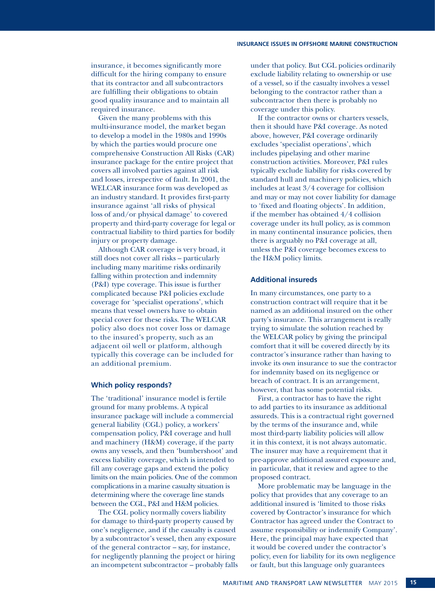insurance, it becomes significantly more difficult for the hiring company to ensure that its contractor and all subcontractors are fulfilling their obligations to obtain good quality insurance and to maintain all required insurance.

Given the many problems with this multi-insurance model, the market began to develop a model in the 1980s and 1990s by which the parties would procure one comprehensive Construction All Risks (CAR) insurance package for the entire project that covers all involved parties against all risk and losses, irrespective of fault. In 2001, the WELCAR insurance form was developed as an industry standard. It provides first-party insurance against 'all risks of physical loss of and/or physical damage' to covered property and third-party coverage for legal or contractual liability to third parties for bodily injury or property damage.

Although CAR coverage is very broad, it still does not cover all risks – particularly including many maritime risks ordinarily falling within protection and indemnity (P&I) type coverage. This issue is further complicated because P&I policies exclude coverage for 'specialist operations', which means that vessel owners have to obtain special cover for these risks. The WELCAR policy also does not cover loss or damage to the insured's property, such as an adjacent oil well or platform, although typically this coverage can be included for an additional premium.

## **Which policy responds?**

The 'traditional' insurance model is fertile ground for many problems. A typical insurance package will include a commercial general liability (CGL) policy, a workers' compensation policy, P&I coverage and hull and machinery (H&M) coverage, if the party owns any vessels, and then 'bumbershoot' and excess liability coverage, which is intended to fill any coverage gaps and extend the policy limits on the main policies. One of the common complications in a marine casualty situation is determining where the coverage line stands between the CGL, P&I and H&M policies.

The CGL policy normally covers liability for damage to third-party property caused by one's negligence, and if the casualty is caused by a subcontractor's vessel, then any exposure of the general contractor – say, for instance, for negligently planning the project or hiring an incompetent subcontractor – probably falls

under that policy. But CGL policies ordinarily exclude liability relating to ownership or use of a vessel, so if the casualty involves a vessel belonging to the contractor rather than a subcontractor then there is probably no coverage under this policy.

If the contractor owns or charters vessels, then it should have P&I coverage. As noted above, however, P&I coverage ordinarily excludes 'specialist operations', which includes pipelaying and other marine construction activities. Moreover, P&I rules typically exclude liability for risks covered by standard hull and machinery policies, which includes at least 3/4 coverage for collision and may or may not cover liability for damage to 'fixed and floating objects'. In addition, if the member has obtained 4/4 collision coverage under its hull policy, as is common in many continental insurance policies, then there is arguably no P&I coverage at all, unless the P&I coverage becomes excess to the H&M policy limits.

### **Additional insureds**

In many circumstances, one party to a construction contract will require that it be named as an additional insured on the other party's insurance. This arrangement is really trying to simulate the solution reached by the WELCAR policy by giving the principal comfort that it will be covered directly by its contractor's insurance rather than having to invoke its own insurance to sue the contractor for indemnity based on its negligence or breach of contract. It is an arrangement, however, that has some potential risks.

First, a contractor has to have the right to add parties to its insurance as additional assureds. This is a contractual right governed by the terms of the insurance and, while most third-party liability policies will allow it in this context, it is not always automatic. The insurer may have a requirement that it pre-approve additional assured exposure and, in particular, that it review and agree to the proposed contract.

More problematic may be language in the policy that provides that any coverage to an additional insured is 'limited to those risks covered by Contractor's insurance for which Contractor has agreed under the Contract to assume responsibility or indemnify Company'. Here, the principal may have expected that it would be covered under the contractor's policy, even for liability for its own negligence or fault, but this language only guarantees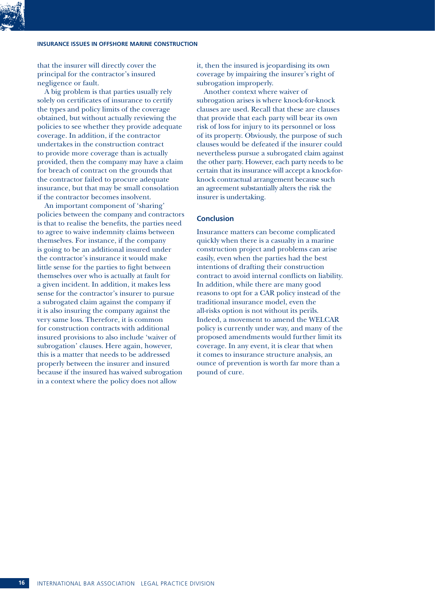that the insurer will directly cover the principal for the contractor's insured negligence or fault.

A big problem is that parties usually rely solely on certificates of insurance to certify the types and policy limits of the coverage obtained, but without actually reviewing the policies to see whether they provide adequate coverage. In addition, if the contractor undertakes in the construction contract to provide more coverage than is actually provided, then the company may have a claim for breach of contract on the grounds that the contractor failed to procure adequate insurance, but that may be small consolation if the contractor becomes insolvent.

An important component of 'sharing' policies between the company and contractors is that to realise the benefits, the parties need to agree to waive indemnity claims between themselves. For instance, if the company is going to be an additional insured under the contractor's insurance it would make little sense for the parties to fight between themselves over who is actually at fault for a given incident. In addition, it makes less sense for the contractor's insurer to pursue a subrogated claim against the company if it is also insuring the company against the very same loss. Therefore, it is common for construction contracts with additional insured provisions to also include 'waiver of subrogation' clauses. Here again, however, this is a matter that needs to be addressed properly between the insurer and insured because if the insured has waived subrogation in a context where the policy does not allow

it, then the insured is jeopardising its own coverage by impairing the insurer's right of subrogation improperly.

Another context where waiver of subrogation arises is where knock-for-knock clauses are used. Recall that these are clauses that provide that each party will bear its own risk of loss for injury to its personnel or loss of its property. Obviously, the purpose of such clauses would be defeated if the insurer could nevertheless pursue a subrogated claim against the other party. However, each party needs to be certain that its insurance will accept a knock-forknock contractual arrangement because such an agreement substantially alters the risk the insurer is undertaking.

# **Conclusion**

Insurance matters can become complicated quickly when there is a casualty in a marine construction project and problems can arise easily, even when the parties had the best intentions of drafting their construction contract to avoid internal conflicts on liability. In addition, while there are many good reasons to opt for a CAR policy instead of the traditional insurance model, even the all-risks option is not without its perils. Indeed, a movement to amend the WELCAR policy is currently under way, and many of the proposed amendments would further limit its coverage. In any event, it is clear that when it comes to insurance structure analysis, an ounce of prevention is worth far more than a pound of cure.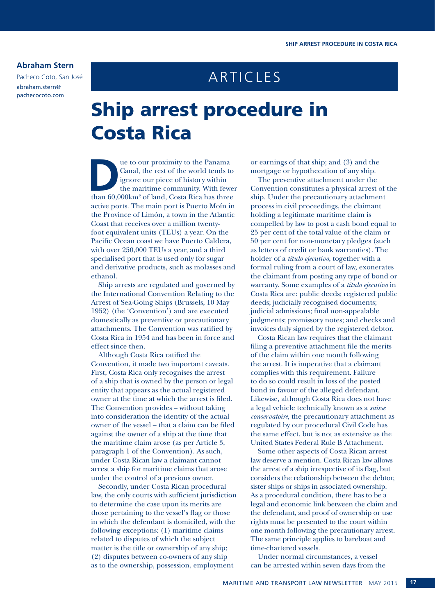# **Abraham Stern**

Pacheco Coto, San José abraham stern@ pachecocoto.com

# ARTICLES

# Ship arrest procedure in Costa Rica

**DEVALUATE:** The versus of the world tends to ignore our piece of history within the maritime community. With fewer than 60,000km<sup>2</sup> of land, Costa Rica has three Canal, the rest of the world tends to ignore our piece of history within the maritime community. With fewer active ports. The main port is Puerto Moín in the Province of Limón, a town in the Atlantic Coast that receives over a million twentyfoot equivalent units (TEUs) a year. On the Pacific Ocean coast we have Puerto Caldera, with over 250,000 TEUs a year, and a third specialised port that is used only for sugar and derivative products, such as molasses and ethanol.

Ship arrests are regulated and governed by the International Convention Relating to the Arrest of Sea-Going Ships (Brussels, 10 May 1952) (the 'Convention') and are executed domestically as preventive or precautionary attachments. The Convention was ratified by Costa Rica in 1954 and has been in force and effect since then.

Although Costa Rica ratified the Convention, it made two important caveats. First, Costa Rica only recognises the arrest of a ship that is owned by the person or legal entity that appears as the actual registered owner at the time at which the arrest is filed. The Convention provides – without taking into consideration the identity of the actual owner of the vessel – that a claim can be filed against the owner of a ship at the time that the maritime claim arose (as per Article 3, paragraph 1 of the Convention). As such, under Costa Rican law a claimant cannot arrest a ship for maritime claims that arose under the control of a previous owner.

Secondly, under Costa Rican procedural law, the only courts with sufficient jurisdiction to determine the case upon its merits are those pertaining to the vessel's flag or those in which the defendant is domiciled, with the following exceptions: (1) maritime claims related to disputes of which the subject matter is the title or ownership of any ship; (2) disputes between co-owners of any ship as to the ownership, possession, employment

or earnings of that ship; and (3) and the mortgage or hypothecation of any ship.

The preventive attachment under the Convention constitutes a physical arrest of the ship. Under the precautionary attachment process in civil proceedings, the claimant holding a legitimate maritime claim is compelled by law to post a cash bond equal to 25 per cent of the total value of the claim or 50 per cent for non-monetary pledges (such as letters of credit or bank warranties). The holder of a *título ejecutivo*, together with a formal ruling from a court of law, exonerates the claimant from posting any type of bond or warranty. Some examples of a *título ejecutivo* in Costa Rica are: public deeds; registered public deeds; judicially recognised documents; judicial admissions; final non-appealable judgments; promissory notes; and checks and invoices duly signed by the registered debtor.

Costa Rican law requires that the claimant filing a preventive attachment file the merits of the claim within one month following the arrest. It is imperative that a claimant complies with this requirement. Failure to do so could result in loss of the posted bond in favour of the alleged defendant. Likewise, although Costa Rica does not have a legal vehicle technically known as a *saisse conservatoire*, the precautionary attachment as regulated by our procedural Civil Code has the same effect, but is not as extensive as the United States Federal Rule B Attachment.

Some other aspects of Costa Rican arrest law deserve a mention. Costa Rican law allows the arrest of a ship irrespective of its flag, but considers the relationship between the debtor, sister ships or ships in associated ownership. As a procedural condition, there has to be a legal and economic link between the claim and the defendant, and proof of ownership or use rights must be presented to the court within one month following the precautionary arrest. The same principle applies to bareboat and time-chartered vessels.

Under normal circumstances, a vessel can be arrested within seven days from the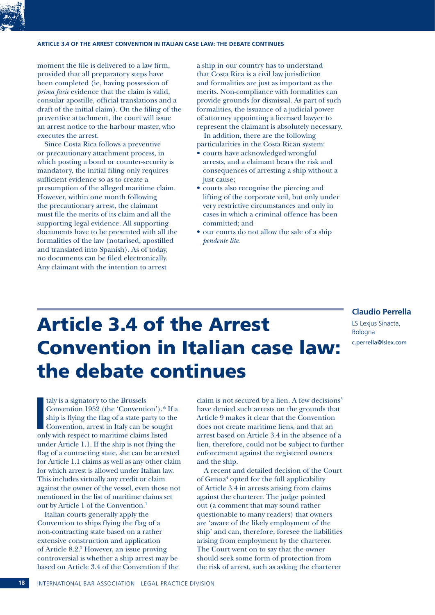# **ARTICLE 3.4 OF THE ARREST CONVENTION IN ITALIAN CASE LAW: THE DEBATE CONTINUES**

moment the file is delivered to a law firm, provided that all preparatory steps have been completed (ie, having possession of *prima facie* evidence that the claim is valid, consular apostille, official translations and a draft of the initial claim). On the filing of the preventive attachment, the court will issue an arrest notice to the harbour master, who executes the arrest.

Since Costa Rica follows a preventive or precautionary attachment process, in which posting a bond or counter-security is mandatory, the initial filing only requires sufficient evidence so as to create a presumption of the alleged maritime claim. However, within one month following the precautionary arrest, the claimant must file the merits of its claim and all the supporting legal evidence. All supporting documents have to be presented with all the formalities of the law (notarised, apostilled and translated into Spanish). As of today, no documents can be filed electronically. Any claimant with the intention to arrest

a ship in our country has to understand that Costa Rica is a civil law jurisdiction and formalities are just as important as the merits. Non-compliance with formalities can provide grounds for dismissal. As part of such formalities, the issuance of a judicial power of attorney appointing a licensed lawyer to represent the claimant is absolutely necessary.

In addition, there are the following particularities in the Costa Rican system: • courts have acknowledged wrongful

- arrests, and a claimant bears the risk and consequences of arresting a ship without a just cause;
- courts also recognise the piercing and lifting of the corporate veil, but only under very restrictive circumstances and only in cases in which a criminal offence has been committed; and
- our courts do not allow the sale of a ship *pendente lite*.

# **Claudio Perrella**

LS Lexjus Sinacta, Bologna c.perrella@lslex.com

# Article 3.4 of the Arrest Convention in Italian case law: the debate continues

taly is a signatory to the Brussels<br>
Convention 1952 (the 'Convention').\* I<br>
ship is flying the flag of a state party to t<br>
Convention, arrest in Italy can be sough<br>
only with respect to maritime claims listed taly is a signatory to the Brussels Convention 1952 (the 'Convention').\* If a ship is flying the flag of a state party to the Convention, arrest in Italy can be sought under Article 1.1. If the ship is not flying the flag of a contracting state, she can be arrested for Article 1.1 claims as well as any other claim for which arrest is allowed under Italian law. This includes virtually any credit or claim against the owner of the vessel, even those not mentioned in the list of maritime claims set out by Article 1 of the Convention.<sup>1</sup>

Italian courts generally apply the Convention to ships flying the flag of a non-contracting state based on a rather extensive construction and application of Article 8.2.2 However, an issue proving controversial is whether a ship arrest may be based on Article 3.4 of the Convention if the

claim is not secured by a lien. A few decisions<sup>3</sup> have denied such arrests on the grounds that Article 9 makes it clear that the Convention does not create maritime liens, and that an arrest based on Article 3.4 in the absence of a lien, therefore, could not be subject to further enforcement against the registered owners and the ship.

A recent and detailed decision of the Court of Genoa4 opted for the full applicability of Article 3.4 in arrests arising from claims against the charterer. The judge pointed out (a comment that may sound rather questionable to many readers) that owners are 'aware of the likely employment of the ship' and can, therefore, foresee the liabilities arising from employment by the charterer. The Court went on to say that the owner should seek some form of protection from the risk of arrest, such as asking the charterer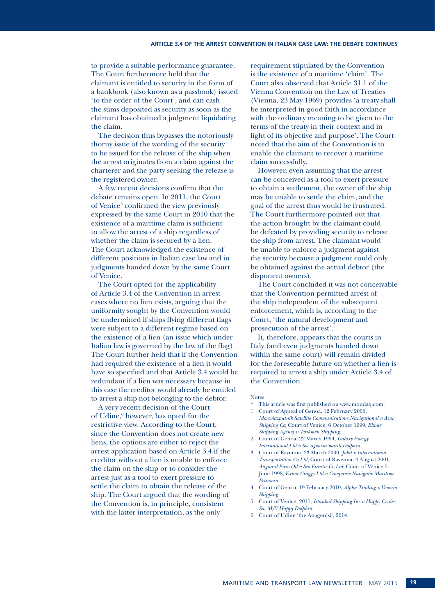to provide a suitable performance guarantee. The Court furthermore held that the claimant is entitled to security in the form of a bankbook (also known as a passbook) issued 'to the order of the Court', and can cash the sums deposited as security as soon as the claimant has obtained a judgment liquidating the claim.

The decision thus bypasses the notoriously thorny issue of the wording of the security to be issued for the release of the ship when the arrest originates from a claim against the charterer and the party seeking the release is the registered owner.

A few recent decisions confirm that the debate remains open. In 2011, the Court of Venice<sup>5</sup> confirmed the view previously expressed by the same Court in 2010 that the existence of a maritime claim is sufficient to allow the arrest of a ship regardless of whether the claim is secured by a lien. The Court acknowledged the existence of different positions in Italian case law and in judgments handed down by the same Court of Venice.

The Court opted for the applicability of Article 3.4 of the Convention in arrest cases where no lien exists, arguing that the uniformity sought by the Convention would be undermined if ships flying different flags were subject to a different regime based on the existence of a lien (an issue which under Italian law is governed by the law of the flag). The Court further held that if the Convention had required the existence of a lien it would have so specified and that Article 3.4 would be redundant if a lien was necessary because in this case the creditor would already be entitled to arrest a ship not belonging to the debtor.

A very recent decision of the Court of Udine,<sup>6</sup> however, has opted for the restrictive view. According to the Court, since the Convention does not create new liens, the options are either to reject the arrest application based on Article 3.4 if the creditor without a lien is unable to enforce the claim on the ship or to consider the arrest just as a tool to exert pressure to settle the claim to obtain the release of the ship. The Court argued that the wording of the Convention is, in principle, consistent with the latter interpretation, as the only

requirement stipulated by the Convention is the existence of a maritime 'claim'. The Court also observed that Article 31.1 of the Vienna Convention on the Law of Treaties (Vienna, 23 May 1969) provides 'a treaty shall be interpreted in good faith in accordance with the ordinary meaning to be given to the terms of the treaty in their context and in light of its objective and purpose'. The Court noted that the aim of the Convention is to enable the claimant to recover a maritime claim successfully.

However, even assuming that the arrest can be conceived as a tool to exert pressure to obtain a settlement, the owner of the ship may be unable to settle the claim, and the goal of the arrest thus would be frustrated. The Court furthermore pointed out that the action brought by the claimant could be defeated by providing security to release the ship from arrest. The claimant would be unable to enforce a judgment against the security because a judgment could only be obtained against the actual debtor (the disponent owners).

The Court concluded it was not conceivable that the Convention permitted arrest of the ship independent of the subsequent enforcement, which is, according to the Court, 'the natural development and prosecution of the arrest'.

It, therefore, appears that the courts in Italy (and even judgments handed down within the same court) will remain divided for the foreseeable future on whether a lien is required to arrest a ship under Article 3.4 of the Convention.

#### Notes

- This article was first published on www.mondaq.com. 1 Court of Appeal of Genoa, 12 February 2000,
- *Morsviazputnik Satellite Communications Navigational v Azov Shipping Co*; Court of Venice, 6 October 1999, *Elmar Shipping Agency v Turkmen Shipping.*
- 2 Court of Genoa, 22 March 1994, *Galaxy Energy International Ltd v Soc agenzia maritt Dolphin.*
- 3 Court of Ravenna, 23 March 2000, *Jakil v International Transportation Co Ltd*; Court of Ravenna, 4 August 2001, *Aagaard Euro Oil v Sea Frantic Co Ltd*; Court of Venice 5 June 1998, *Exnor Craggs Ltd v Companie Navigatie Maritime Petromin.*
- 4 Court of Genoa, 19 February 2010, *Alpha Trading v Venezia Shipping.*
- 5 Court of Venice, 2011, *Istanbul Shipping Inc v Happy Cruise Sa, M/V Happy Dolphin.*
- 6 Court of Udine 'the Anagenisi', 2014.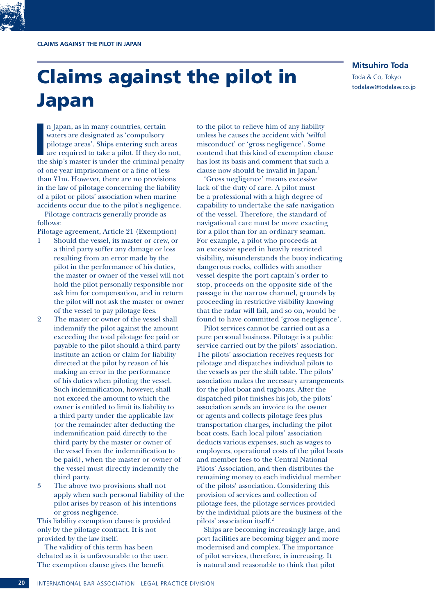# Claims against the pilot in Toda & Co, Tokyo Japan

**Mitsuhiro Toda**

**I**<br>I<sup>I</sup><br>The n Japan, as in many countries, certain waters are designated as 'compulsory pilotage areas'. Ships entering such areas are required to take a pilot. If they do not, the ship's master is under the criminal penalty of one year imprisonment or a fine of less than ¥1m. However, there are no provisions in the law of pilotage concerning the liability of a pilot or pilots' association when marine accidents occur due to the pilot's negligence.

Pilotage contracts generally provide as follows:

Pilotage agreement, Article 21 (Exemption)

- 1 Should the vessel, its master or crew, or a third party suffer any damage or loss resulting from an error made by the pilot in the performance of his duties, the master or owner of the vessel will not hold the pilot personally responsible nor ask him for compensation, and in return the pilot will not ask the master or owner of the vessel to pay pilotage fees.
- 2 The master or owner of the vessel shall indemnify the pilot against the amount exceeding the total pilotage fee paid or payable to the pilot should a third party institute an action or claim for liability directed at the pilot by reason of his making an error in the performance of his duties when piloting the vessel. Such indemnification, however, shall not exceed the amount to which the owner is entitled to limit its liability to a third party under the applicable law (or the remainder after deducting the indemnification paid directly to the third party by the master or owner of the vessel from the indemnification to be paid), when the master or owner of the vessel must directly indemnify the third party.
- 3 The above two provisions shall not apply when such personal liability of the pilot arises by reason of his intentions or gross negligence.

This liability exemption clause is provided only by the pilotage contract. It is not provided by the law itself.

The validity of this term has been debated as it is unfavourable to the user. The exemption clause gives the benefit

to the pilot to relieve him of any liability unless he causes the accident with 'wilful misconduct' or 'gross negligence'. Some contend that this kind of exemption clause has lost its basis and comment that such a clause now should be invalid in Japan.1

'Gross negligence' means excessive lack of the duty of care. A pilot must be a professional with a high degree of capability to undertake the safe navigation of the vessel. Therefore, the standard of navigational care must be more exacting for a pilot than for an ordinary seaman. For example, a pilot who proceeds at an excessive speed in heavily restricted visibility, misunderstands the buoy indicating dangerous rocks, collides with another vessel despite the port captain's order to stop, proceeds on the opposite side of the passage in the narrow channel, grounds by proceeding in restrictive visibility knowing that the radar will fail, and so on, would be found to have committed 'gross negligence'.

Pilot services cannot be carried out as a pure personal business. Pilotage is a public service carried out by the pilots' association. The pilots' association receives requests for pilotage and dispatches individual pilots to the vessels as per the shift table. The pilots' association makes the necessary arrangements for the pilot boat and tugboats. After the dispatched pilot finishes his job, the pilots' association sends an invoice to the owner or agents and collects pilotage fees plus transportation charges, including the pilot boat costs. Each local pilots' association deducts various expenses, such as wages to employees, operational costs of the pilot boats and member fees to the Central National Pilots' Association, and then distributes the remaining money to each individual member of the pilots' association. Considering this provision of services and collection of pilotage fees, the pilotage services provided by the individual pilots are the business of the pilots' association itself.2

Ships are becoming increasingly large, and port facilities are becoming bigger and more modernised and complex. The importance of pilot services, therefore, is increasing. It is natural and reasonable to think that pilot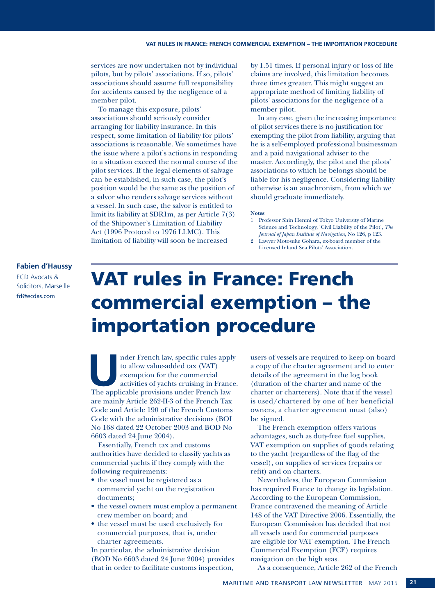services are now undertaken not by individual pilots, but by pilots' associations. If so, pilots' associations should assume full responsibility for accidents caused by the negligence of a member pilot.

To manage this exposure, pilots' associations should seriously consider arranging for liability insurance. In this respect, some limitation of liability for pilots' associations is reasonable. We sometimes have the issue where a pilot's actions in responding to a situation exceed the normal course of the pilot services. If the legal elements of salvage can be established, in such case, the pilot's position would be the same as the position of a salvor who renders salvage services without a vessel. In such case, the salvor is entitled to limit its liability at SDR1m, as per Article 7(3) of the Shipowner's Limitation of Liability Act (1996 Protocol to 1976 LLMC). This limitation of liability will soon be increased

by 1.51 times. If personal injury or loss of life claims are involved, this limitation becomes three times greater. This might suggest an appropriate method of limiting liability of pilots' associations for the negligence of a member pilot.

In any case, given the increasing importance of pilot services there is no justification for exempting the pilot from liability, arguing that he is a self-employed professional businessman and a paid navigational adviser to the master. Accordingly, the pilot and the pilots' associations to which he belongs should be liable for his negligence. Considering liability otherwise is an anachronism, from which we should graduate immediately.

#### **Notes**

- 1 Professor Shin Henmi of Tokyo University of Marine Science and Technology, 'Civil Liability of the Pilot', *The Journal of Japan Institute of Navigation,* No 126, p 123.
- 2 Lawyer Motosuke Gohara, ex-board member of the Licensed Inland Sea Pilots' Association.

# **Fabien d'Haussy** ECD Avocats & Solicitors, Marseille fd@ecdas.com

# VAT rules in France: French commercial exemption – the importation procedure

nder French law, specific rules apply<br>to allow value-added tax (VAT)<br>exemption for the commercial<br>activities of yachts cruising in France.<br>The applicable provisions under French law to allow value-added tax (VAT) exemption for the commercial activities of yachts cruising in France. The applicable provisions under French law are mainly Article 262-II-3 of the French Tax Code and Article 190 of the French Customs Code with the administrative decisions (BOI No 168 dated 22 October 2003 and BOD No 6603 dated 24 June 2004).

Essentially, French tax and customs authorities have decided to classify yachts as commercial yachts if they comply with the following requirements:

- the vessel must be registered as a commercial yacht on the registration documents;
- the vessel owners must employ a permanent crew member on board; and
- the vessel must be used exclusively for commercial purposes, that is, under charter agreements.

In particular, the administrative decision (BOD No 6603 dated 24 June 2004) provides that in order to facilitate customs inspection,

users of vessels are required to keep on board a copy of the charter agreement and to enter details of the agreement in the log book (duration of the charter and name of the charter or charterers). Note that if the vessel is used/chartered by one of her beneficial owners, a charter agreement must (also) be signed.

The French exemption offers various advantages, such as duty-free fuel supplies, VAT exemption on supplies of goods relating to the yacht (regardless of the flag of the vessel), on supplies of services (repairs or refit) and on charters.

Nevertheless, the European Commission has required France to change its legislation. According to the European Commission, France contravened the meaning of Article 148 of the VAT Directive 2006. Essentially, the European Commission has decided that not all vessels used for commercial purposes are eligible for VAT exemption. The French Commercial Exemption (FCE) requires navigation on the high seas.

As a consequence, Article 262 of the French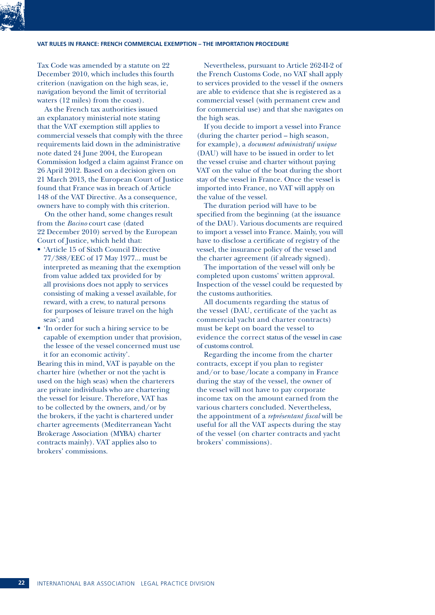# **VAT RULES IN FRANCE: FRENCH COMMERCIAL EXEMPTION – THE IMPORTATION PROCEDURE**

Tax Code was amended by a statute on 22 December 2010, which includes this fourth criterion (navigation on the high seas, ie, navigation beyond the limit of territorial waters (12 miles) from the coast).

As the French tax authorities issued an explanatory ministerial note stating that the VAT exemption still applies to commercial vessels that comply with the three requirements laid down in the administrative note dated 24 June 2004, the European Commission lodged a claim against France on 26 April 2012. Based on a decision given on 21 March 2013, the European Court of Justice found that France was in breach of Article 148 of the VAT Directive. As a consequence, owners have to comply with this criterion.

On the other hand, some changes result from the *Bacino* court case (dated 22 December 2010) served by the European Court of Justice, which held that:

- 'Article 15 of Sixth Council Directive 77/388/EEC of 17 May 1977... must be interpreted as meaning that the exemption from value added tax provided for by all provisions does not apply to services consisting of making a vessel available, for reward, with a crew, to natural persons for purposes of leisure travel on the high seas'; and
- 'In order for such a hiring service to be capable of exemption under that provision, the lessee of the vessel concerned must use it for an economic activity'.

Bearing this in mind, VAT is payable on the charter hire (whether or not the yacht is used on the high seas) when the charterers are private individuals who are chartering the vessel for leisure. Therefore, VAT has to be collected by the owners, and/or by the brokers, if the yacht is chartered under charter agreements (Mediterranean Yacht Brokerage Association (MYBA) charter contracts mainly). VAT applies also to brokers' commissions.

Nevertheless, pursuant to Article 262-II-2 of the French Customs Code, no VAT shall apply to services provided to the vessel if the owners are able to evidence that she is registered as a commercial vessel (with permanent crew and for commercial use) and that she navigates on the high seas.

If you decide to import a vessel into France (during the charter period – high season, for example), a *document administratif unique* (DAU) will have to be issued in order to let the vessel cruise and charter without paying VAT on the value of the boat during the short stay of the vessel in France. Once the vessel is imported into France, no VAT will apply on the value of the vessel.

The duration period will have to be specified from the beginning (at the issuance of the DAU). Various documents are required to import a vessel into France. Mainly, you will have to disclose a certificate of registry of the vessel, the insurance policy of the vessel and the charter agreement (if already signed).

The importation of the vessel will only be completed upon customs' written approval. Inspection of the vessel could be requested by the customs authorities.

All documents regarding the status of the vessel (DAU, certificate of the yacht as commercial yacht and charter contracts) must be kept on board the vessel to evidence the correct status of the vessel in case of customs control.

Regarding the income from the charter contracts, except if you plan to register and/or to base/locate a company in France during the stay of the vessel, the owner of the vessel will not have to pay corporate income tax on the amount earned from the various charters concluded. Nevertheless, the appointment of a *représentant fiscal* will be useful for all the VAT aspects during the stay of the vessel (on charter contracts and yacht brokers' commissions).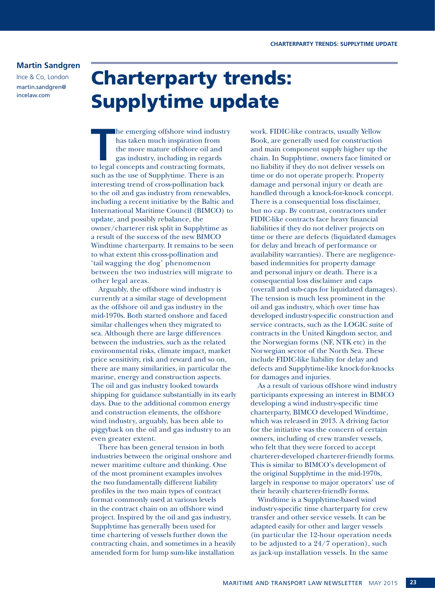# **Martin Sandgren**

Ince & Co, London martin.sandgren@ incelaw.com

# Charterparty trends: Supplytime update

The emerging offshore wind industr<br>
has taken much inspiration from<br>
the more mature offshore oil and<br>
gas industry, including in regards<br>
to legal concepts and contracting formats, he emerging offshore wind industry has taken much inspiration from the more mature offshore oil and gas industry, including in regards such as the use of Supplytime. There is an interesting trend of cross-pollination back to the oil and gas industry from renewables, including a recent initiative by the Baltic and International Maritime Council (BIMCO) to update, and possibly rebalance, the owner/charterer risk split in Supplytime as a result of the success of the new BIMCO Windtime charterparty. It remains to be seen to what extent this cross-pollination and 'tail wagging the dog' phenomenon between the two industries will migrate to other legal areas.

Arguably, the offshore wind industry is currently at a similar stage of development as the offshore oil and gas industry in the mid-1970s. Both started onshore and faced similar challenges when they migrated to sea. Although there are large differences between the industries, such as the related environmental risks, climate impact, market price sensitivity, risk and reward and so on, there are many similarities, in particular the marine, energy and construction aspects. The oil and gas industry looked towards shipping for guidance substantially in its early days. Due to the additional common energy and construction elements, the offshore wind industry, arguably, has been able to piggyback on the oil and gas industry to an even greater extent.

There has been general tension in both industries between the original onshore and newer maritime culture and thinking. One of the most prominent examples involves the two fundamentally different liability profiles in the two main types of contract format commonly used at various levels in the contract chain on an offshore wind project. Inspired by the oil and gas industry, Supplytime has generally been used for time chartering of vessels further down the contracting chain, and sometimes in a heavily amended form for lump sum-like installation

work. FIDIC-like contracts, usually Yellow Book, are generally used for construction and main component supply higher up the chain. In Supplytime, owners face limited or no liability if they do not deliver vessels on time or do not operate properly. Property damage and personal injury or death are handled through a knock-for-knock concept. There is a consequential loss disclaimer, but no cap. By contrast, contractors under FIDIC-like contracts face heavy financial liabilities if they do not deliver projects on time or there are defects (liquidated damages for delay and breach of performance or availability warranties). There are negligencebased indemnities for property damage and personal injury or death. There is a consequential loss disclaimer and caps (overall and sub-caps for liquidated damages). The tension is much less prominent in the oil and gas industry, which over time has developed industry-specific construction and service contracts, such as the LOGIC suite of contracts in the United Kingdom sector, and the Norwegian forms (NF, NTK etc) in the Norwegian sector of the North Sea. These include FIDIC-like liability for delay and defects and Supplytime-like knock-for-knocks for damages and injuries.

As a result of various offshore wind industry participants expressing an interest in BIMCO developing a wind industry-specific time charterparty, BIMCO developed Windtime, which was released in 2013. A driving factor for the initiative was the concern of certain owners, including of crew transfer vessels, who felt that they were forced to accept charterer-developed charterer-friendly forms. This is similar to BIMCO's development of the original Supplytime in the mid-1970s, largely in response to major operators' use of their heavily charterer-friendly forms.

Windtime is a Supplytime-based wind industry-specific time charterparty for crew transfer and other service vessels. It can be adapted easily for other and larger vessels (in particular the 12-hour operation needs to be adjusted to a 24/7 operation), such as jack-up installation vessels. In the same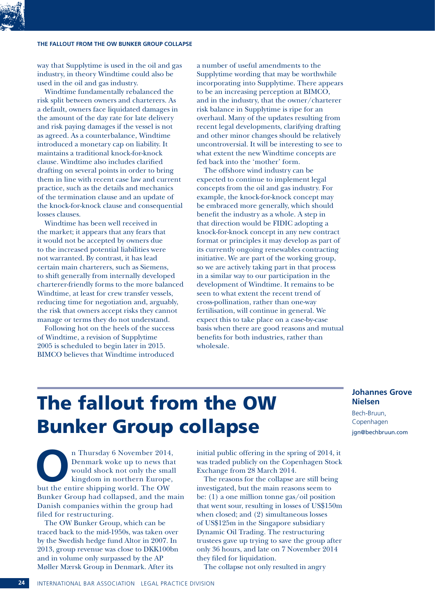# **THE FALLOUT FROM THE OW BUNKER GROUP COLLAPSE**

way that Supplytime is used in the oil and gas industry, in theory Windtime could also be used in the oil and gas industry.

Windtime fundamentally rebalanced the risk split between owners and charterers. As a default, owners face liquidated damages in the amount of the day rate for late delivery and risk paying damages if the vessel is not as agreed. As a counterbalance, Windtime introduced a monetary cap on liability. It maintains a traditional knock-for-knock clause. Windtime also includes clarified drafting on several points in order to bring them in line with recent case law and current practice, such as the details and mechanics of the termination clause and an update of the knock-for-knock clause and consequential losses clauses.

Windtime has been well received in the market; it appears that any fears that it would not be accepted by owners due to the increased potential liabilities were not warranted. By contrast, it has lead certain main charterers, such as Siemens, to shift generally from internally developed charterer-friendly forms to the more balanced Windtime, at least for crew transfer vessels, reducing time for negotiation and, arguably, the risk that owners accept risks they cannot manage or terms they do not understand.

Following hot on the heels of the success of Windtime, a revision of Supplytime 2005 is scheduled to begin later in 2015. BIMCO believes that Windtime introduced

a number of useful amendments to the Supplytime wording that may be worthwhile incorporating into Supplytime. There appears to be an increasing perception at BIMCO, and in the industry, that the owner/charterer risk balance in Supplytime is ripe for an overhaul. Many of the updates resulting from recent legal developments, clarifying drafting and other minor changes should be relatively uncontroversial. It will be interesting to see to what extent the new Windtime concepts are fed back into the 'mother' form.

The offshore wind industry can be expected to continue to implement legal concepts from the oil and gas industry. For example, the knock-for-knock concept may be embraced more generally, which should benefit the industry as a whole. A step in that direction would be FIDIC adopting a knock-for-knock concept in any new contract format or principles it may develop as part of its currently ongoing renewables contracting initiative. We are part of the working group, so we are actively taking part in that process in a similar way to our participation in the development of Windtime. It remains to be seen to what extent the recent trend of cross-pollination, rather than one-way fertilisation, will continue in general. We expect this to take place on a case-by-case basis when there are good reasons and mutual benefits for both industries, rather than wholesale.

# The fallout from the OW Bunker Group collapse

**O**n Thursday 6 November 2014,<br>Denmark woke up to news that<br>would shock not only the small<br>kingdom in northern Europe,<br>but the entire shipping world. The OW Denmark woke up to news that would shock not only the small kingdom in northern Europe, but the entire shipping world. The OW Bunker Group had collapsed, and the main Danish companies within the group had filed for restructuring.

The OW Bunker Group, which can be traced back to the mid-1950s, was taken over by the Swedish hedge fund Altor in 2007. In 2013, group revenue was close to DKK100bn and in volume only surpassed by the AP Møller Mærsk Group in Denmark. After its

initial public offering in the spring of 2014, it was traded publicly on the Copenhagen Stock Exchange from 28 March 2014.

The reasons for the collapse are still being investigated, but the main reasons seem to be: (1) a one million tonne gas/oil position that went sour, resulting in losses of US\$150m when closed; and (2) simultaneous losses of US\$125m in the Singapore subsidiary Dynamic Oil Trading. The restructuring trustees gave up trying to save the group after only 36 hours, and late on 7 November 2014 they filed for liquidation.

The collapse not only resulted in angry

Bech-Bruun, Copenhagen jgn@bechbruun.com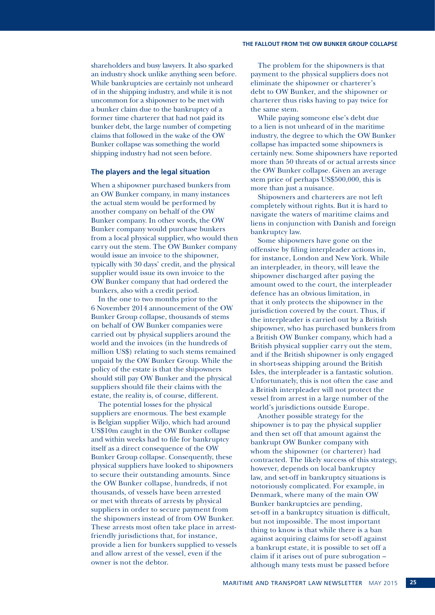shareholders and busy lawyers. It also sparked an industry shock unlike anything seen before. While bankruptcies are certainly not unheard of in the shipping industry, and while it is not uncommon for a shipowner to be met with a bunker claim due to the bankruptcy of a former time charterer that had not paid its bunker debt, the large number of competing claims that followed in the wake of the OW Bunker collapse was something the world shipping industry had not seen before.

# **The players and the legal situation**

When a shipowner purchased bunkers from an OW Bunker company, in many instances the actual stem would be performed by another company on behalf of the OW Bunker company. In other words, the OW Bunker company would purchase bunkers from a local physical supplier, who would then carry out the stem. The OW Bunker company would issue an invoice to the shipowner, typically with 30 days' credit, and the physical supplier would issue its own invoice to the OW Bunker company that had ordered the bunkers, also with a credit period.

In the one to two months prior to the 6 November 2014 announcement of the OW Bunker Group collapse, thousands of stems on behalf of OW Bunker companies were carried out by physical suppliers around the world and the invoices (in the hundreds of million US\$) relating to such stems remained unpaid by the OW Bunker Group. While the policy of the estate is that the shipowners should still pay OW Bunker and the physical suppliers should file their claims with the estate, the reality is, of course, different.

The potential losses for the physical suppliers are enormous. The best example is Belgian supplier Wiljo, which had around US\$10m caught in the OW Bunker collapse and within weeks had to file for bankruptcy itself as a direct consequence of the OW Bunker Group collapse. Consequently, these physical suppliers have looked to shipowners to secure their outstanding amounts. Since the OW Bunker collapse, hundreds, if not thousands, of vessels have been arrested or met with threats of arrests by physical suppliers in order to secure payment from the shipowners instead of from OW Bunker. These arrests most often take place in arrestfriendly jurisdictions that, for instance, provide a lien for bunkers supplied to vessels and allow arrest of the vessel, even if the owner is not the debtor.

The problem for the shipowners is that payment to the physical suppliers does not eliminate the shipowner or charterer's debt to OW Bunker, and the shipowner or charterer thus risks having to pay twice for the same stem.

While paying someone else's debt due to a lien is not unheard of in the maritime industry, the degree to which the OW Bunker collapse has impacted some shipowners is certainly new. Some shipowners have reported more than 50 threats of or actual arrests since the OW Bunker collapse. Given an average stem price of perhaps US\$500,000, this is more than just a nuisance.

Shipowners and charterers are not left completely without rights. But it is hard to navigate the waters of maritime claims and liens in conjunction with Danish and foreign bankruptcy law.

Some shipowners have gone on the offensive by filing interpleader actions in, for instance, London and New York. While an interpleader, in theory, will leave the shipowner discharged after paying the amount owed to the court, the interpleader defence has an obvious limitation, in that it only protects the shipowner in the jurisdiction covered by the court. Thus, if the interpleader is carried out by a British shipowner, who has purchased bunkers from a British OW Bunker company, which had a British physical supplier carry out the stem, and if the British shipowner is only engaged in short-seas shipping around the British Isles, the interpleader is a fantastic solution. Unfortunately, this is not often the case and a British interpleader will not protect the vessel from arrest in a large number of the world's jurisdictions outside Europe.

Another possible strategy for the shipowner is to pay the physical supplier and then set off that amount against the bankrupt OW Bunker company with whom the shipowner (or charterer) had contracted. The likely success of this strategy, however, depends on local bankruptcy law, and set-off in bankruptcy situations is notoriously complicated. For example, in Denmark, where many of the main OW Bunker bankruptcies are pending, set-off in a bankruptcy situation is difficult, but not impossible. The most important thing to know is that while there is a ban against acquiring claims for set-off against a bankrupt estate, it is possible to set off a claim if it arises out of pure subrogation – although many tests must be passed before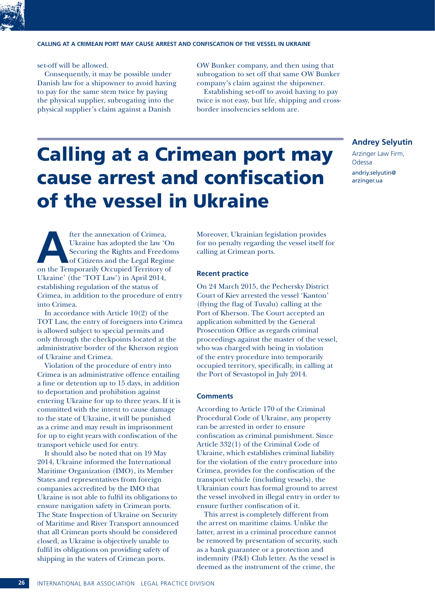

set-off will be allowed.

Consequently, it may be possible under Danish law for a shipowner to avoid having to pay for the same stem twice by paying the physical supplier, subrogating into the physical supplier's claim against a Danish

OW Bunker company, and then using that subrogation to set off that same OW Bunker company's claim against the shipowner.

Establishing set-off to avoid having to pay twice is not easy, but life, shipping and crossborder insolvencies seldom are.

# Calling at a Crimean port may cause arrest and confiscation of the vessel in Ukraine

# **Andrey Selyutin**

Arzinger Law Firm, Odessa andriy.selyutin@ arzinger.ua

For the annexation of Crimea,<br>
Ukraine has adopted the law 'Or<br>
Securing the Rights and Freedor<br>
of Citizens and the Legal Regime<br>
on the Temporarily Occupied Territory of Ukraine has adopted the law 'On Securing the Rights and Freedoms of Citizens and the Legal Regime Ukraine' (the 'TOT Law') in April 2014, establishing regulation of the status of Crimea, in addition to the procedure of entry into Crimea.

In accordance with Article 10(2) of the TOT Law, the entry of foreigners into Crimea is allowed subject to special permits and only through the checkpoints located at the administrative border of the Kherson region of Ukraine and Crimea.

Violation of the procedure of entry into Crimea is an administrative offence entailing a fine or detention up to 15 days, in addition to deportation and prohibition against entering Ukraine for up to three years. If it is committed with the intent to cause damage to the state of Ukraine, it will be punished as a crime and may result in imprisonment for up to eight years with confiscation of the transport vehicle used for entry.

It should also be noted that on 19 May 2014, Ukraine informed the International Maritime Organization (IMO), its Member States and representatives from foreign companies accredited by the IMO that Ukraine is not able to fulfil its obligations to ensure navigation safety in Crimean ports. The State Inspection of Ukraine on Security of Maritime and River Transport announced that all Crimean ports should be considered closed, as Ukraine is objectively unable to fulfil its obligations on providing safety of shipping in the waters of Crimean ports.

Moreover, Ukrainian legislation provides for no penalty regarding the vessel itself for calling at Crimean ports.

## **Recent practice**

On 24 March 2015, the Pechersky District Court of Kiev arrested the vessel 'Kanton' (flying the flag of Tuvalu) calling at the Port of Kherson. The Court accepted an application submitted by the General Prosecution Office as regards criminal proceedings against the master of the vessel, who was charged with being in violation of the entry procedure into temporarily occupied territory, specifically, in calling at the Port of Sevastopol in July 2014.

# **Comments**

According to Article 170 of the Criminal Procedural Code of Ukraine, any property can be arrested in order to ensure confiscation as criminal punishment. Since Article 332(1) of the Criminal Code of Ukraine, which establishes criminal liability for the violation of the entry procedure into Crimea, provides for the confiscation of the transport vehicle (including vessels), the Ukrainian court has formal ground to arrest the vessel involved in illegal entry in order to ensure further confiscation of it.

This arrest is completely different from the arrest on maritime claims. Unlike the latter, arrest in a criminal procedure cannot be removed by presentation of security, such as a bank guarantee or a protection and indemnity (P&I) Club letter. As the vessel is deemed as the instrument of the crime, the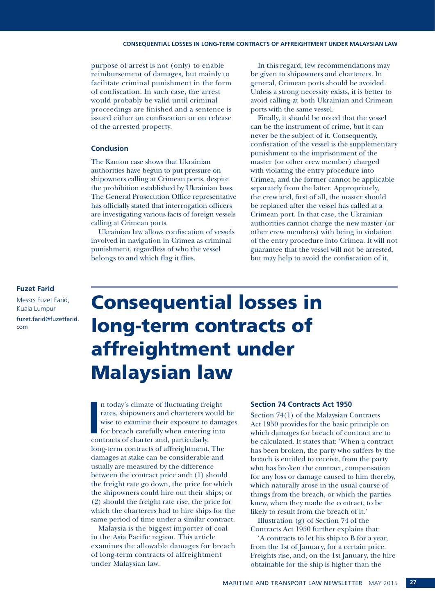purpose of arrest is not (only) to enable reimbursement of damages, but mainly to facilitate criminal punishment in the form of confiscation. In such case, the arrest would probably be valid until criminal proceedings are finished and a sentence is issued either on confiscation or on release of the arrested property.

# **Conclusion**

The Kanton case shows that Ukrainian authorities have begun to put pressure on shipowners calling at Crimean ports, despite the prohibition established by Ukrainian laws. The General Prosecution Office representative has officially stated that interrogation officers are investigating various facts of foreign vessels calling at Crimean ports.

Ukrainian law allows confiscation of vessels involved in navigation in Crimea as criminal punishment, regardless of who the vessel belongs to and which flag it flies.

In this regard, few recommendations may be given to shipowners and charterers. In general, Crimean ports should be avoided. Unless a strong necessity exists, it is better to avoid calling at both Ukrainian and Crimean ports with the same vessel.

Finally, it should be noted that the vessel can be the instrument of crime, but it can never be the subject of it. Consequently, confiscation of the vessel is the supplementary punishment to the imprisonment of the master (or other crew member) charged with violating the entry procedure into Crimea, and the former cannot be applicable separately from the latter. Appropriately, the crew and, first of all, the master should be replaced after the vessel has called at a Crimean port. In that case, the Ukrainian authorities cannot charge the new master (or other crew members) with being in violation of the entry procedure into Crimea. It will not guarantee that the vessel will not be arrested, but may help to avoid the confiscation of it.

# **Fuzet Farid**

Messrs Fuzet Farid, Kuala Lumpur fuzet.farid@fuzetfarid. com

# Consequential losses in long-term contracts of affreightment under Malaysian law

In today's climate of fluctuating fre<br>
rates, shipowners and charterers w<br>
wise to examine their exposure to<br>
for breach carefully when entering<br>
contracts of charter and, particularly, n today's climate of fluctuating freight rates, shipowners and charterers would be wise to examine their exposure to damages for breach carefully when entering into long-term contracts of affreightment. The damages at stake can be considerable and usually are measured by the difference between the contract price and: (1) should the freight rate go down, the price for which the shipowners could hire out their ships; or (2) should the freight rate rise, the price for which the charterers had to hire ships for the same period of time under a similar contract.

Malaysia is the biggest importer of coal in the Asia Pacific region. This article examines the allowable damages for breach of long-term contracts of affreightment under Malaysian law.

# **Section 74 Contracts Act 1950**

Section 74(1) of the Malaysian Contracts Act 1950 provides for the basic principle on which damages for breach of contract are to be calculated. It states that: 'When a contract has been broken, the party who suffers by the breach is entitled to receive, from the party who has broken the contract, compensation for any loss or damage caused to him thereby, which naturally arose in the usual course of things from the breach, or which the parties knew, when they made the contract, to be likely to result from the breach of it.'

Illustration (g) of Section 74 of the Contracts Act 1950 further explains that:

'A contracts to let his ship to B for a year, from the 1st of January, for a certain price. Freights rise, and, on the 1st January, the hire obtainable for the ship is higher than the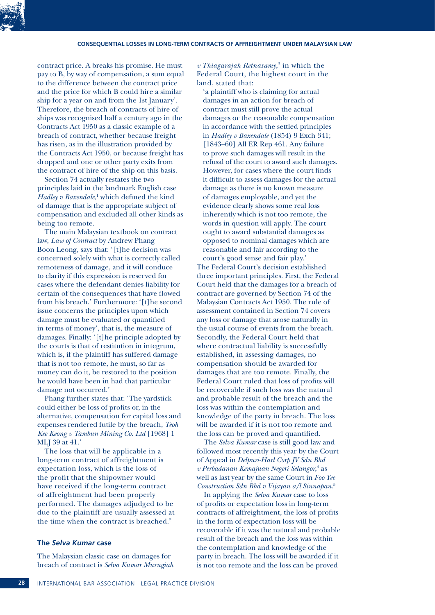

contract price. A breaks his promise. He must pay to B, by way of compensation, a sum equal to the difference between the contract price and the price for which B could hire a similar ship for a year on and from the 1st January'. Therefore, the breach of contracts of hire of ships was recognised half a century ago in the Contracts Act 1950 as a classic example of a breach of contract, whether because freight has risen, as in the illustration provided by the Contracts Act 1950, or because freight has dropped and one or other party exits from the contract of hire of the ship on this basis.

Section 74 actually restates the two principles laid in the landmark English case Hadley v Baxendale,<sup>1</sup> which defined the kind of damage that is the appropriate subject of compensation and excluded all other kinds as being too remote.

The main Malaysian textbook on contract law, *Law of Contract* by Andrew Phang Boon Leong, says that: '[t]he decision was concerned solely with what is correctly called remoteness of damage, and it will conduce to clarity if this expression is reserved for cases where the defendant denies liability for certain of the consequences that have flowed from his breach.' Furthermore: '[t]he second issue concerns the principles upon which damage must be evaluated or quantified in terms of money', that is, the measure of damages. Finally: '[t]he principle adopted by the courts is that of restitution in integrum, which is, if the plaintiff has suffered damage that is not too remote, he must, so far as money can do it, be restored to the position he would have been in had that particular damage not occurred.'

Phang further states that: 'The yardstick could either be loss of profits or, in the alternative, compensation for capital loss and expenses rendered futile by the breach, *Teoh Kee Keong v Tambun Mining Co. Ltd* [1968] 1 MLJ 39 at 41.'

The loss that will be applicable in a long-term contract of affreightment is expectation loss, which is the loss of the profit that the shipowner would have received if the long-term contract of affreightment had been properly performed. The damages adjudged to be due to the plaintiff are usually assessed at the time when the contract is breached.2

## **The** *Selva Kumar* **case**

The Malaysian classic case on damages for breach of contract is *Selva Kumar Murugiah* 

*v Thiagarajah Retnasamy*, 3 in which the Federal Court, the highest court in the land, stated that:

'a plaintiff who is claiming for actual damages in an action for breach of contract must still prove the actual damages or the reasonable compensation in accordance with the settled principles in *Hadley v Baxendale* (1854) 9 Exch 341; [1843–60] All ER Rep 461. Any failure to prove such damages will result in the refusal of the court to award such damages. However, for cases where the court finds it difficult to assess damages for the actual damage as there is no known measure of damages employable, and yet the evidence clearly shows some real loss inherently which is not too remote, the words in question will apply. The court ought to award substantial damages as opposed to nominal damages which are reasonable and fair according to the court's good sense and fair play.'

The Federal Court's decision established three important principles. First, the Federal Court held that the damages for a breach of contract are governed by Section 74 of the Malaysian Contracts Act 1950. The rule of assessment contained in Section 74 covers any loss or damage that arose naturally in the usual course of events from the breach. Secondly, the Federal Court held that where contractual liability is successfully established, in assessing damages, no compensation should be awarded for damages that are too remote. Finally, the Federal Court ruled that loss of profits will be recoverable if such loss was the natural and probable result of the breach and the loss was within the contemplation and knowledge of the party in breach. The loss will be awarded if it is not too remote and the loss can be proved and quantified.

The *Selva Kumar* case is still good law and followed most recently this year by the Court of Appeal in *Delpuri-Harl Corp JV Sdn Bhd v Perbadanan Kemajuan Negeri Selangor*, 4 as well as last year by the same Court in *Foo Yee Construction Sdn Bhd v Vijayan a/l Sinnapan*. 5

In applying the *Selva Kumar* case to loss of profits or expectation loss in long-term contracts of affreightment, the loss of profits in the form of expectation loss will be recoverable if it was the natural and probable result of the breach and the loss was within the contemplation and knowledge of the party in breach. The loss will be awarded if it is not too remote and the loss can be proved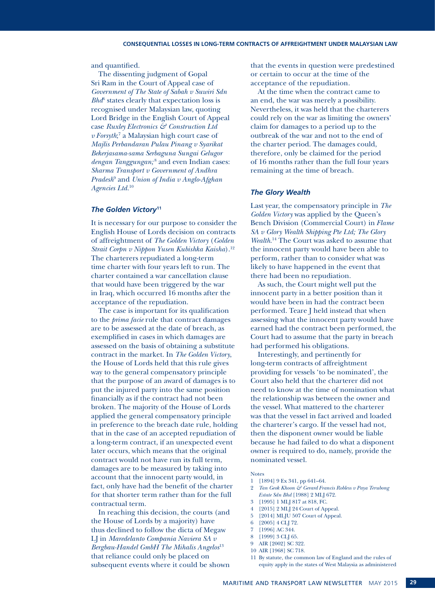## and quantified.

The dissenting judgment of Gopal Sri Ram in the Court of Appeal case of *Government of The State of Sabah v Suwiri Sdn Bhd*<sup>6</sup> states clearly that expectation loss is recognised under Malaysian law, quoting Lord Bridge in the English Court of Appeal case *Ruxley Electronics & Construction Ltd v Forsyth*; 7 a Malaysian high court case of *Majlis Perbandaran Pulau Pinang v Syarikat Bekerjasama-sama Serbaguna Sungai Gelugor*  dengan Tanggungan;<sup>8</sup> and even Indian cases: *Sharma Transport v Government of Andhra Pradesh*<sup>9</sup> and *Union of India v Anglo-Afghan Agencies Ltd.*<sup>10</sup>

## *The Golden Victory***<sup>11</sup>**

It is necessary for our purpose to consider the English House of Lords decision on contracts of affreightment of *The Golden Victory* (*Golden Strait Corpn v Nippon Yusen Kubishka Kaisha*).12 The charterers repudiated a long-term time charter with four years left to run. The charter contained a war cancellation clause that would have been triggered by the war in Iraq, which occurred 16 months after the acceptance of the repudiation.

The case is important for its qualification to the *prima facie* rule that contract damages are to be assessed at the date of breach, as exemplified in cases in which damages are assessed on the basis of obtaining a substitute contract in the market. In *The Golden Victory*, the House of Lords held that this rule gives way to the general compensatory principle that the purpose of an award of damages is to put the injured party into the same position financially as if the contract had not been broken. The majority of the House of Lords applied the general compensatory principle in preference to the breach date rule, holding that in the case of an accepted repudiation of a long-term contract, if an unexpected event later occurs, which means that the original contract would not have run its full term, damages are to be measured by taking into account that the innocent party would, in fact, only have had the benefit of the charter for that shorter term rather than for the full contractual term.

In reaching this decision, the courts (and the House of Lords by a majority) have thus declined to follow the dicta of Megaw LJ in *Maredelanto Compania Naviera SA v Bergbau-Handel GmbH The Mihalis Angelos*<sup>13</sup> that reliance could only be placed on subsequent events where it could be shown

that the events in question were predestined or certain to occur at the time of the acceptance of the repudiation.

At the time when the contract came to an end, the war was merely a possibility. Nevertheless, it was held that the charterers could rely on the war as limiting the owners' claim for damages to a period up to the outbreak of the war and not to the end of the charter period. The damages could, therefore, only be claimed for the period of 16 months rather than the full four years remaining at the time of breach.

#### *The Glory Wealth*

Last year, the compensatory principle in *The Golden Victory* was applied by the Queen's Bench Division (Commercial Court) in *Flame SA v Glory Wealth Shipping Pte Ltd; The Glory Wealth*. 14 The Court was asked to assume that the innocent party would have been able to perform, rather than to consider what was likely to have happened in the event that there had been no repudiation.

As such, the Court might well put the innocent party in a better position than it would have been in had the contract been performed. Teare J held instead that when assessing what the innocent party would have earned had the contract been performed, the Court had to assume that the party in breach had performed his obligations.

Interestingly, and pertinently for long-term contracts of affreightment providing for vessels 'to be nominated', the Court also held that the charterer did not need to know at the time of nomination what the relationship was between the owner and the vessel. What mattered to the charterer was that the vessel in fact arrived and loaded the charterer's cargo. If the vessel had not, then the disponent owner would be liable because he had failed to do what a disponent owner is required to do, namely, provide the nominated vessel.

# Notes

- 1 [1894] 9 Ex 341, pp 641–64.
- 2 *Tan Geok Khoon & Gerard Francis Robless v Paya Terubong Estate Sdn Bhd* [1988] 2 MLJ 672.
- 3 [1995] 1 MLJ 817 at 818, FC.
- 4 [2015] 2 MLJ 24 Court of Appeal.
- 5 [2014] MLJU 507 Court of Appeal.
- 6 [2005] 4 CLJ 72.
- 7 [1996] AC 344.
- 8 [1999] 3 CLJ 65.
- 
- 9 AIR [2002] SC 322.
- 10 AIR [1968] SC 718.
- 11 By statute, the common law of England and the rules of equity apply in the states of West Malaysia as administered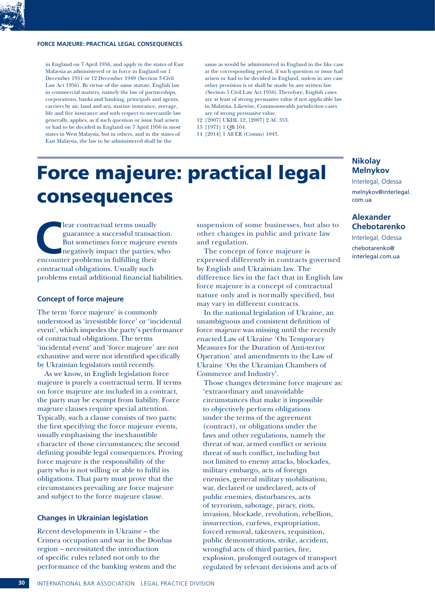## **FORCE MAJEURE: PRACTICAL LEGAL CONSEQUENCES**

in England on 7 April 1956, and apply in the states of East Malaysia as administered or in force in England on 1 December 1951 or 12 December 1949 (Section 3 Civil Law Act 1956). By virtue of the same statute, English law in commercial matters, namely the law of partnerships, corporations, banks and banking, principals and agents, carriers by air, land and sea, marine insurance, average, life and fire insurance and with respect to mercantile law generally, applies, as if such question or issue had arisen or had to be decided in England on 7 April 1956 in most states in West Malaysia, but in others, and in the states of East Malaysia, the law to be administered shall be the

same as would be administered in England in the like case at the corresponding period, if such question or issue had arisen or had to be decided in England, unless in any case other provision is or shall be made by any written law (Section 5 Civil Law Act 1956).Therefore, English cases are at least of strong persuasive value if not applicable law in Malaysia. Likewise, Commonwealth jurisdiction cases are of strong persuasive value.

- 12 [2007] UKHL 12, [2007] 2 AC 353.
- 13 [1971] 1 QB 164.
- 14 [2014] 1 All ER (Comm) 1043.

# Force majeure: practical legal consequences

**COLE**<br> **C**lear contractual terms usually<br>
But sometimes force majeure<br>
negatively impact the parties,<br>
encounter problems in fulfilling their guarantee a successful transaction. But sometimes force majeure events negatively impact the parties, who contractual obligations. Usually such problems entail additional financial liabilities.

## **Concept of force majeure**

The term 'force majeure' is commonly understood as 'irresistible force' or 'incidental event', which impedes the party's performance of contractual obligations. The terms 'incidental event' and 'force majeure' are not exhaustive and were not identified specifically by Ukrainian legislators until recently.

As we know, in English legislation force majeure is purely a contractual term. If terms on force majeure are included in a contract, the party may be exempt from liability. Force majeure clauses require special attention. Typically, such a clause consists of two parts: the first specifying the force majeure events, usually emphasising the inexhaustible character of those circumstances; the second defining possible legal consequences. Proving force majeure is the responsibility of the party who is not willing or able to fulfil its obligations. That party must prove that the circumstances prevailing are force majeure and subject to the force majeure clause.

## **Changes in Ukrainian legislation**

Recent developments in Ukraine – the Crimea occupation and war in the Donbas region – necessitated the introduction of specific rules related not only to the performance of the banking system and the

suspension of some businesses, but also to other changes in public and private law and regulation.

The concept of force majeure is expressed differently in contracts governed by English and Ukrainian law. The difference lies in the fact that in English law force majeure is a concept of contractual nature only and is normally specified, but may vary in different contracts.

In the national legislation of Ukraine, an unambiguous and consistent definition of force majeure was missing until the recently enacted Law of Ukraine 'On Temporary Measures for the Duration of Anti-terror Operation' and amendments to the Law of Ukraine 'On the Ukrainian Chambers of Commerce and Industry'.

Those changes determine force majeure as: 'extraordinary and unavoidable circumstances that make it impossible to objectively perform obligations under the terms of the agreement (contract), or obligations under the laws and other regulations, namely the threat of war, armed conflict or serious threat of such conflict, including but not limited to enemy attacks, blockades, military embargo, acts of foreign enemies, general military mobilisation, war, declared or undeclared, acts of public enemies, disturbances, acts of terrorism, sabotage, piracy, riots, invasion, blockade, revolution, rebellion, insurrection, curfews, expropriation, forced removal, takeovers, requisition, public demonstrations, strike, accident, wrongful acts of third parties, fire, explosion, prolonged outages of transport regulated by relevant decisions and acts of

# **Nikolay Melnykov**

Interlegal, Odessa melnykov@interlegal. com.ua

# **Alexander Chebotarenko**

Interlegal, Odessa chebotarenko@ interlegal.com.ua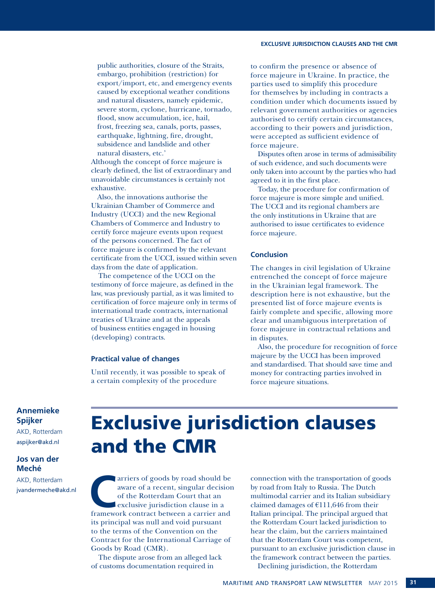# **EXCLUSIVE JURISDICTION CLAUSES AND THE CMR**

public authorities, closure of the Straits, embargo, prohibition (restriction) for export/import, etc, and emergency events caused by exceptional weather conditions and natural disasters, namely epidemic, severe storm, cyclone, hurricane, tornado, flood, snow accumulation, ice, hail, frost, freezing sea, canals, ports, passes, earthquake, lightning, fire, drought, subsidence and landslide and other natural disasters, etc.'

Although the concept of force majeure is clearly defined, the list of extraordinary and unavoidable circumstances is certainly not exhaustive.

Also, the innovations authorise the Ukrainian Chamber of Commerce and Industry (UCCI) and the new Regional Chambers of Commerce and Industry to certify force majeure events upon request of the persons concerned. The fact of force majeure is confirmed by the relevant certificate from the UCCI, issued within seven days from the date of application.

The competence of the UCCI on the testimony of force majeure, as defined in the law, was previously partial, as it was limited to certification of force majeure only in terms of international trade contracts, international treaties of Ukraine and at the appeals of business entities engaged in housing (developing) contracts.

# **Practical value of changes**

Until recently, it was possible to speak of a certain complexity of the procedure

to confirm the presence or absence of force majeure in Ukraine. In practice, the parties used to simplify this procedure for themselves by including in contracts a condition under which documents issued by relevant government authorities or agencies authorised to certify certain circumstances, according to their powers and jurisdiction, were accepted as sufficient evidence of force majeure.

Disputes often arose in terms of admissibility of such evidence, and such documents were only taken into account by the parties who had agreed to it in the first place.

Today, the procedure for confirmation of force majeure is more simple and unified. The UCCI and its regional chambers are the only institutions in Ukraine that are authorised to issue certificates to evidence force majeure.

# **Conclusion**

The changes in civil legislation of Ukraine entrenched the concept of force majeure in the Ukrainian legal framework. The description here is not exhaustive, but the presented list of force majeure events is fairly complete and specific, allowing more clear and unambiguous interpretation of force majeure in contractual relations and in disputes.

Also, the procedure for recognition of force majeure by the UCCI has been improved and standardised. That should save time and money for contracting parties involved in force majeure situations.

# **Annemieke Spijker**

AKD, Rotterdam aspijker@akd.nl

# **Jos van der Meché**

AKD, Rotterdam jvandermeche@akd.nl

# Exclusive jurisdiction clauses and the CMR

**C**arriers of goods by road should be aware of a recent, singular decision of the Rotterdam Court that an exclusive jurisdiction clause in a framework contract between a carrier and its principal was null and void pursuant to the terms of the Convention on the Contract for the International Carriage of Goods by Road (CMR).

The dispute arose from an alleged lack of customs documentation required in

connection with the transportation of goods by road from Italy to Russia. The Dutch multimodal carrier and its Italian subsidiary claimed damages of €111,646 from their Italian principal. The principal argued that the Rotterdam Court lacked jurisdiction to hear the claim, but the carriers maintained that the Rotterdam Court was competent, pursuant to an exclusive jurisdiction clause in the framework contract between the parties. Declining jurisdiction, the Rotterdam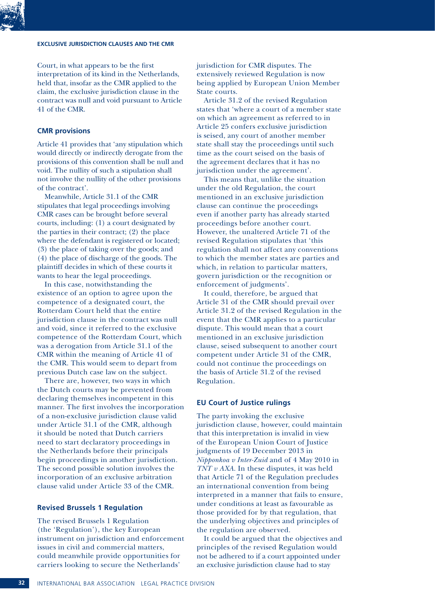Court, in what appears to be the first interpretation of its kind in the Netherlands, held that, insofar as the CMR applied to the claim, the exclusive jurisdiction clause in the contract was null and void pursuant to Article 41 of the CMR.

# **CMR provisions**

Article 41 provides that 'any stipulation which would directly or indirectly derogate from the provisions of this convention shall be null and void. The nullity of such a stipulation shall not involve the nullity of the other provisions of the contract'.

Meanwhile, Article 31.1 of the CMR stipulates that legal proceedings involving CMR cases can be brought before several courts, including: (1) a court designated by the parties in their contract; (2) the place where the defendant is registered or located; (3) the place of taking over the goods; and (4) the place of discharge of the goods. The plaintiff decides in which of these courts it wants to hear the legal proceedings.

In this case, notwithstanding the existence of an option to agree upon the competence of a designated court, the Rotterdam Court held that the entire jurisdiction clause in the contract was null and void, since it referred to the exclusive competence of the Rotterdam Court, which was a derogation from Article 31.1 of the CMR within the meaning of Article 41 of the CMR. This would seem to depart from previous Dutch case law on the subject.

There are, however, two ways in which the Dutch courts may be prevented from declaring themselves incompetent in this manner. The first involves the incorporation of a non-exclusive jurisdiction clause valid under Article 31.1 of the CMR, although it should be noted that Dutch carriers need to start declaratory proceedings in the Netherlands before their principals begin proceedings in another jurisdiction. The second possible solution involves the incorporation of an exclusive arbitration clause valid under Article 33 of the CMR.

## **Revised Brussels 1 Regulation**

The revised Brussels 1 Regulation (the 'Regulation'), the key European instrument on jurisdiction and enforcement issues in civil and commercial matters, could meanwhile provide opportunities for carriers looking to secure the Netherlands'

jurisdiction for CMR disputes. The extensively reviewed Regulation is now being applied by European Union Member State courts.

Article 31.2 of the revised Regulation states that 'where a court of a member state on which an agreement as referred to in Article 25 confers exclusive jurisdiction is seised, any court of another member state shall stay the proceedings until such time as the court seised on the basis of the agreement declares that it has no jurisdiction under the agreement'.

This means that, unlike the situation under the old Regulation, the court mentioned in an exclusive jurisdiction clause can continue the proceedings even if another party has already started proceedings before another court. However, the unaltered Article 71 of the revised Regulation stipulates that 'this regulation shall not affect any conventions to which the member states are parties and which, in relation to particular matters, govern jurisdiction or the recognition or enforcement of judgments'.

It could, therefore, be argued that Article 31 of the CMR should prevail over Article 31.2 of the revised Regulation in the event that the CMR applies to a particular dispute. This would mean that a court mentioned in an exclusive jurisdiction clause, seised subsequent to another court competent under Article 31 of the CMR, could not continue the proceedings on the basis of Article 31.2 of the revised Regulation.

# **EU Court of Justice rulings**

The party invoking the exclusive jurisdiction clause, however, could maintain that this interpretation is invalid in view of the European Union Court of Justice judgments of 19 December 2013 in *Nipponkoa v Inter-Zuid* and of 4 May 2010 in *TNT v AXA*. In these disputes, it was held that Article 71 of the Regulation precludes an international convention from being interpreted in a manner that fails to ensure, under conditions at least as favourable as those provided for by that regulation, that the underlying objectives and principles of the regulation are observed.

It could be argued that the objectives and principles of the revised Regulation would not be adhered to if a court appointed under an exclusive jurisdiction clause had to stay